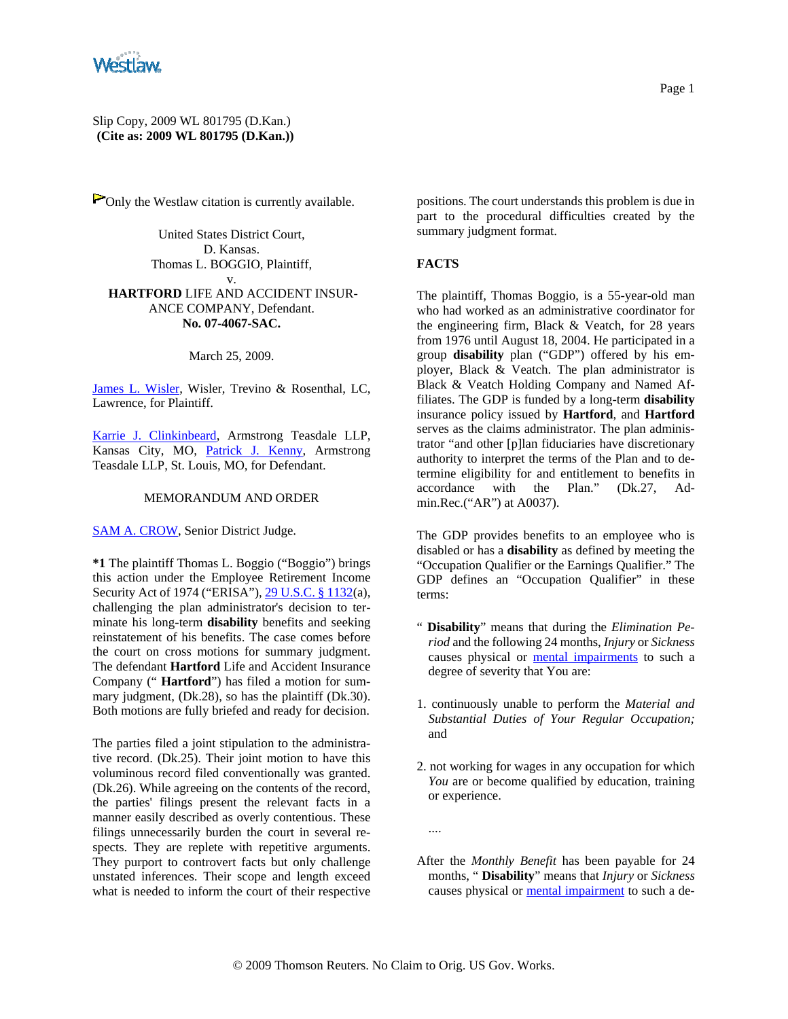

Slip Copy, 2009 WL 801795 (D.Kan.) **(Cite as: 2009 WL 801795 (D.Kan.))**

POnly the Westlaw citation is currently available.

United States District Court, D. Kansas. Thomas L. BOGGIO, Plaintiff, v. **HARTFORD** LIFE AND ACCIDENT INSUR-ANCE COMPANY, Defendant. **No. 07-4067-SAC.**

March 25, 2009.

James L. Wisler, Wisler, Trevino & Rosenthal, LC, Lawrence, for Plaintiff.

Karrie J. Clinkinbeard, Armstrong Teasdale LLP, Kansas City, MO, Patrick J. Kenny, Armstrong Teasdale LLP, St. Louis, MO, for Defendant.

### MEMORANDUM AND ORDER

SAM A. CROW, Senior District Judge.

**\*1** The plaintiff Thomas L. Boggio ("Boggio") brings this action under the Employee Retirement Income Security Act of 1974 ("ERISA"), 29 U.S.C. § 1132(a), challenging the plan administrator's decision to terminate his long-term **disability** benefits and seeking reinstatement of his benefits. The case comes before the court on cross motions for summary judgment. The defendant **Hartford** Life and Accident Insurance Company (" **Hartford**") has filed a motion for summary judgment, (Dk.28), so has the plaintiff (Dk.30). Both motions are fully briefed and ready for decision.

The parties filed a joint stipulation to the administrative record. (Dk.25). Their joint motion to have this voluminous record filed conventionally was granted. (Dk.26). While agreeing on the contents of the record, the parties' filings present the relevant facts in a manner easily described as overly contentious. These filings unnecessarily burden the court in several respects. They are replete with repetitive arguments. They purport to controvert facts but only challenge unstated inferences. Their scope and length exceed what is needed to inform the court of their respective

positions. The court understands this problem is due in part to the procedural difficulties created by the summary judgment format.

#### **FACTS**

The plaintiff, Thomas Boggio, is a 55-year-old man who had worked as an administrative coordinator for the engineering firm, Black & Veatch, for 28 years from 1976 until August 18, 2004. He participated in a group **disability** plan ("GDP") offered by his employer, Black & Veatch. The plan administrator is Black & Veatch Holding Company and Named Affiliates. The GDP is funded by a long-term **disability** insurance policy issued by **Hartford**, and **Hartford** serves as the claims administrator. The plan administrator "and other [p]lan fiduciaries have discretionary authority to interpret the terms of the Plan and to determine eligibility for and entitlement to benefits in accordance with the Plan." (Dk.27, Admin.Rec.("AR") at A0037).

The GDP provides benefits to an employee who is disabled or has a **disability** as defined by meeting the "Occupation Qualifier or the Earnings Qualifier." The GDP defines an "Occupation Qualifier" in these terms:

- " **Disability**" means that during the *Elimination Period* and the following 24 months, *Injury* or *Sickness* causes physical or mental impairments to such a degree of severity that You are:
- 1. continuously unable to perform the *Material and Substantial Duties of Your Regular Occupation;* and
- 2. not working for wages in any occupation for which *You* are or become qualified by education, training or experience.
- ....
- After the *Monthly Benefit* has been payable for 24 months, " **Disability**" means that *Injury* or *Sickness* causes physical or mental impairment to such a de-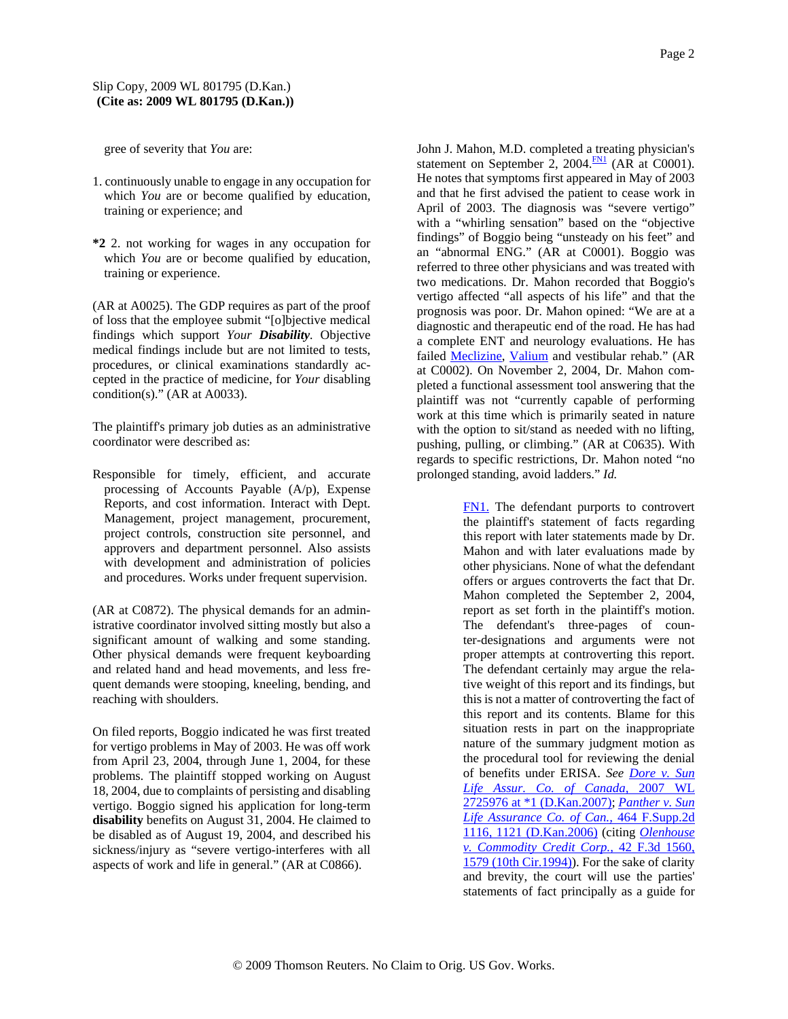gree of severity that *You* are:

- 1. continuously unable to engage in any occupation for which *You* are or become qualified by education, training or experience; and
- **\*2** 2. not working for wages in any occupation for which *You* are or become qualified by education, training or experience.

(AR at A0025). The GDP requires as part of the proof of loss that the employee submit "[o]bjective medical findings which support *Your Disability.* Objective medical findings include but are not limited to tests, procedures, or clinical examinations standardly accepted in the practice of medicine, for *Your* disabling condition(s)." (AR at A0033).

The plaintiff's primary job duties as an administrative coordinator were described as:

Responsible for timely, efficient, and accurate processing of Accounts Payable (A/p), Expense Reports, and cost information. Interact with Dept. Management, project management, procurement, project controls, construction site personnel, and approvers and department personnel. Also assists with development and administration of policies and procedures. Works under frequent supervision.

(AR at C0872). The physical demands for an administrative coordinator involved sitting mostly but also a significant amount of walking and some standing. Other physical demands were frequent keyboarding and related hand and head movements, and less frequent demands were stooping, kneeling, bending, and reaching with shoulders.

On filed reports, Boggio indicated he was first treated for vertigo problems in May of 2003. He was off work from April 23, 2004, through June 1, 2004, for these problems. The plaintiff stopped working on August 18, 2004, due to complaints of persisting and disabling vertigo. Boggio signed his application for long-term **disability** benefits on August 31, 2004. He claimed to be disabled as of August 19, 2004, and described his sickness/injury as "severe vertigo-interferes with all aspects of work and life in general." (AR at C0866).

John J. Mahon, M.D. completed a treating physician's statement on September 2, 2004. $\frac{FN1}{FN}$  (AR at C0001). He notes that symptoms first appeared in May of 2003 and that he first advised the patient to cease work in April of 2003. The diagnosis was "severe vertigo" with a "whirling sensation" based on the "objective findings" of Boggio being "unsteady on his feet" and an "abnormal ENG." (AR at C0001). Boggio was referred to three other physicians and was treated with two medications. Dr. Mahon recorded that Boggio's vertigo affected "all aspects of his life" and that the prognosis was poor. Dr. Mahon opined: "We are at a diagnostic and therapeutic end of the road. He has had a complete ENT and neurology evaluations. He has failed Meclizine, Valium and vestibular rehab." (AR at C0002). On November 2, 2004, Dr. Mahon completed a functional assessment tool answering that the plaintiff was not "currently capable of performing work at this time which is primarily seated in nature with the option to sit/stand as needed with no lifting, pushing, pulling, or climbing." (AR at C0635). With regards to specific restrictions, Dr. Mahon noted "no prolonged standing, avoid ladders." *Id.*

> FN1. The defendant purports to controvert the plaintiff's statement of facts regarding this report with later statements made by Dr. Mahon and with later evaluations made by other physicians. None of what the defendant offers or argues controverts the fact that Dr. Mahon completed the September 2, 2004, report as set forth in the plaintiff's motion. The defendant's three-pages of counter-designations and arguments were not proper attempts at controverting this report. The defendant certainly may argue the relative weight of this report and its findings, but this is not a matter of controverting the fact of this report and its contents. Blame for this situation rests in part on the inappropriate nature of the summary judgment motion as the procedural tool for reviewing the denial of benefits under ERISA. *See Dore v. Sun Life Assur. Co. of Canada,* 2007 WL 2725976 at \*1 (D.Kan.2007); *Panther v. Sun Life Assurance Co. of Can.,* 464 F.Supp.2d 1116, 1121 (D.Kan.2006) (citing *Olenhouse v. Commodity Credit Corp.,* 42 F.3d 1560, 1579 (10th Cir.1994)). For the sake of clarity and brevity, the court will use the parties' statements of fact principally as a guide for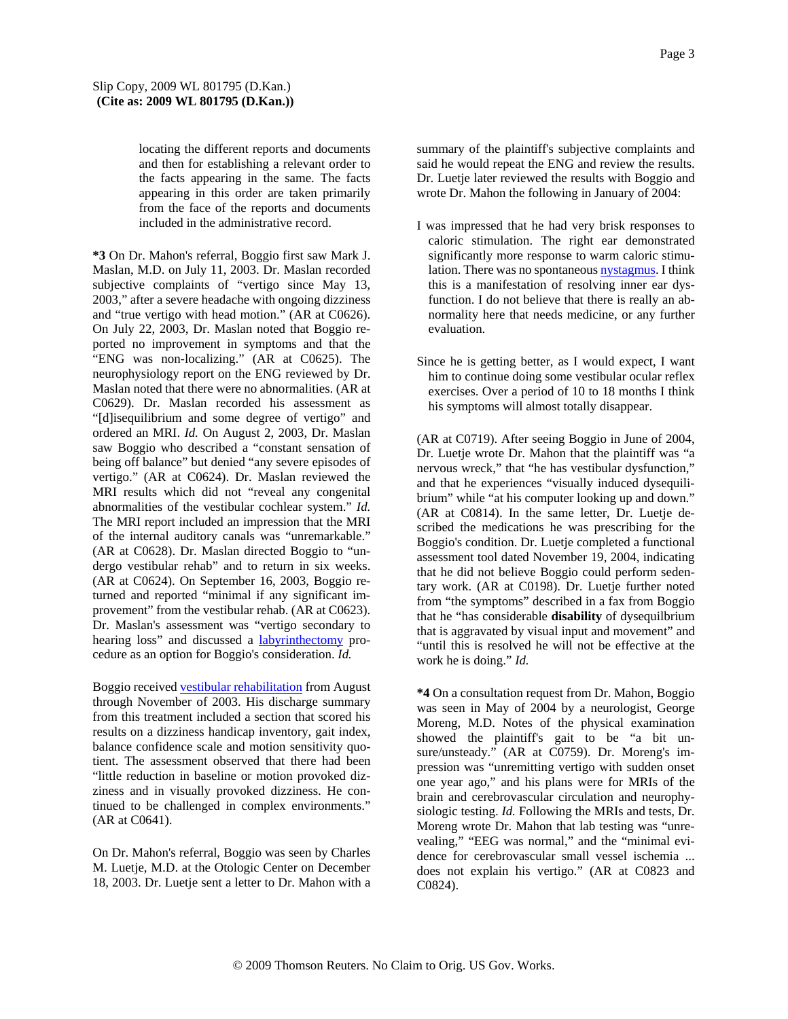locating the different reports and documents and then for establishing a relevant order to the facts appearing in the same. The facts appearing in this order are taken primarily from the face of the reports and documents included in the administrative record.

**\*3** On Dr. Mahon's referral, Boggio first saw Mark J. Maslan, M.D. on July 11, 2003. Dr. Maslan recorded subjective complaints of "vertigo since May 13, 2003," after a severe headache with ongoing dizziness and "true vertigo with head motion." (AR at C0626). On July 22, 2003, Dr. Maslan noted that Boggio reported no improvement in symptoms and that the "ENG was non-localizing." (AR at C0625). The neurophysiology report on the ENG reviewed by Dr. Maslan noted that there were no abnormalities. (AR at C0629). Dr. Maslan recorded his assessment as "[d]isequilibrium and some degree of vertigo" and ordered an MRI. *Id.* On August 2, 2003, Dr. Maslan saw Boggio who described a "constant sensation of being off balance" but denied "any severe episodes of vertigo." (AR at C0624). Dr. Maslan reviewed the MRI results which did not "reveal any congenital abnormalities of the vestibular cochlear system." *Id.* The MRI report included an impression that the MRI of the internal auditory canals was "unremarkable." (AR at C0628). Dr. Maslan directed Boggio to "undergo vestibular rehab" and to return in six weeks. (AR at C0624). On September 16, 2003, Boggio returned and reported "minimal if any significant improvement" from the vestibular rehab. (AR at C0623). Dr. Maslan's assessment was "vertigo secondary to hearing loss" and discussed a labyrinthectomy procedure as an option for Boggio's consideration. *Id.*

Boggio received vestibular rehabilitation from August through November of 2003. His discharge summary from this treatment included a section that scored his results on a dizziness handicap inventory, gait index, balance confidence scale and motion sensitivity quotient. The assessment observed that there had been "little reduction in baseline or motion provoked dizziness and in visually provoked dizziness. He continued to be challenged in complex environments." (AR at C0641).

On Dr. Mahon's referral, Boggio was seen by Charles M. Luetje, M.D. at the Otologic Center on December 18, 2003. Dr. Luetje sent a letter to Dr. Mahon with a summary of the plaintiff's subjective complaints and said he would repeat the ENG and review the results. Dr. Luetje later reviewed the results with Boggio and wrote Dr. Mahon the following in January of 2004:

- I was impressed that he had very brisk responses to caloric stimulation. The right ear demonstrated significantly more response to warm caloric stimulation. There was no spontaneous nystagmus. I think this is a manifestation of resolving inner ear dysfunction. I do not believe that there is really an abnormality here that needs medicine, or any further evaluation.
- Since he is getting better, as I would expect, I want him to continue doing some vestibular ocular reflex exercises. Over a period of 10 to 18 months I think his symptoms will almost totally disappear.

(AR at C0719). After seeing Boggio in June of 2004, Dr. Luetje wrote Dr. Mahon that the plaintiff was "a nervous wreck," that "he has vestibular dysfunction," and that he experiences "visually induced dysequilibrium" while "at his computer looking up and down." (AR at C0814). In the same letter, Dr. Luetje described the medications he was prescribing for the Boggio's condition. Dr. Luetje completed a functional assessment tool dated November 19, 2004, indicating that he did not believe Boggio could perform sedentary work. (AR at C0198). Dr. Luetje further noted from "the symptoms" described in a fax from Boggio that he "has considerable **disability** of dysequilbrium that is aggravated by visual input and movement" and "until this is resolved he will not be effective at the work he is doing." *Id.*

**\*4** On a consultation request from Dr. Mahon, Boggio was seen in May of 2004 by a neurologist, George Moreng, M.D. Notes of the physical examination showed the plaintiff's gait to be "a bit unsure/unsteady." (AR at C0759). Dr. Moreng's impression was "unremitting vertigo with sudden onset one year ago," and his plans were for MRIs of the brain and cerebrovascular circulation and neurophysiologic testing. *Id.* Following the MRIs and tests, Dr. Moreng wrote Dr. Mahon that lab testing was "unrevealing," "EEG was normal," and the "minimal evidence for cerebrovascular small vessel ischemia ... does not explain his vertigo." (AR at C0823 and C0824).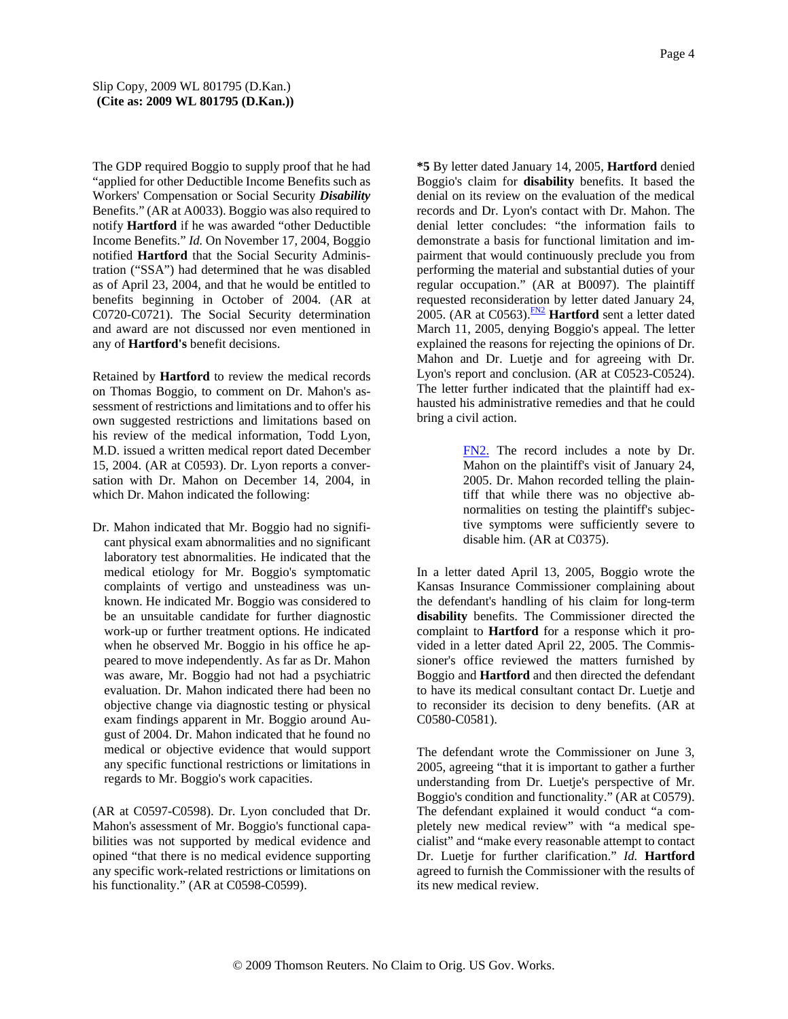The GDP required Boggio to supply proof that he had "applied for other Deductible Income Benefits such as Workers' Compensation or Social Security *Disability* Benefits." (AR at A0033). Boggio was also required to notify **Hartford** if he was awarded "other Deductible Income Benefits." *Id.* On November 17, 2004, Boggio notified **Hartford** that the Social Security Administration ("SSA") had determined that he was disabled as of April 23, 2004, and that he would be entitled to benefits beginning in October of 2004. (AR at C0720-C0721). The Social Security determination and award are not discussed nor even mentioned in any of **Hartford's** benefit decisions.

Retained by **Hartford** to review the medical records on Thomas Boggio, to comment on Dr. Mahon's assessment of restrictions and limitations and to offer his own suggested restrictions and limitations based on his review of the medical information, Todd Lyon, M.D. issued a written medical report dated December 15, 2004. (AR at C0593). Dr. Lyon reports a conversation with Dr. Mahon on December 14, 2004, in which Dr. Mahon indicated the following:

Dr. Mahon indicated that Mr. Boggio had no significant physical exam abnormalities and no significant laboratory test abnormalities. He indicated that the medical etiology for Mr. Boggio's symptomatic complaints of vertigo and unsteadiness was unknown. He indicated Mr. Boggio was considered to be an unsuitable candidate for further diagnostic work-up or further treatment options. He indicated when he observed Mr. Boggio in his office he appeared to move independently. As far as Dr. Mahon was aware, Mr. Boggio had not had a psychiatric evaluation. Dr. Mahon indicated there had been no objective change via diagnostic testing or physical exam findings apparent in Mr. Boggio around August of 2004. Dr. Mahon indicated that he found no medical or objective evidence that would support any specific functional restrictions or limitations in regards to Mr. Boggio's work capacities.

(AR at C0597-C0598). Dr. Lyon concluded that Dr. Mahon's assessment of Mr. Boggio's functional capabilities was not supported by medical evidence and opined "that there is no medical evidence supporting any specific work-related restrictions or limitations on his functionality." (AR at C0598-C0599).

**\*5** By letter dated January 14, 2005, **Hartford** denied Boggio's claim for **disability** benefits. It based the denial on its review on the evaluation of the medical records and Dr. Lyon's contact with Dr. Mahon. The denial letter concludes: "the information fails to demonstrate a basis for functional limitation and impairment that would continuously preclude you from performing the material and substantial duties of your regular occupation." (AR at B0097). The plaintiff requested reconsideration by letter dated January 24, 2005. (AR at C0563).<sup>FN2</sup> **Hartford** sent a letter dated March 11, 2005, denying Boggio's appeal. The letter explained the reasons for rejecting the opinions of Dr. Mahon and Dr. Luetje and for agreeing with Dr. Lyon's report and conclusion. (AR at C0523-C0524). The letter further indicated that the plaintiff had exhausted his administrative remedies and that he could bring a civil action.

> FN2. The record includes a note by Dr. Mahon on the plaintiff's visit of January 24, 2005. Dr. Mahon recorded telling the plaintiff that while there was no objective abnormalities on testing the plaintiff's subjective symptoms were sufficiently severe to disable him. (AR at C0375).

In a letter dated April 13, 2005, Boggio wrote the Kansas Insurance Commissioner complaining about the defendant's handling of his claim for long-term **disability** benefits. The Commissioner directed the complaint to **Hartford** for a response which it provided in a letter dated April 22, 2005. The Commissioner's office reviewed the matters furnished by Boggio and **Hartford** and then directed the defendant to have its medical consultant contact Dr. Luetje and to reconsider its decision to deny benefits. (AR at C0580-C0581).

The defendant wrote the Commissioner on June 3, 2005, agreeing "that it is important to gather a further understanding from Dr. Luetje's perspective of Mr. Boggio's condition and functionality." (AR at C0579). The defendant explained it would conduct "a completely new medical review" with "a medical specialist" and "make every reasonable attempt to contact Dr. Luetje for further clarification." *Id.* **Hartford** agreed to furnish the Commissioner with the results of its new medical review.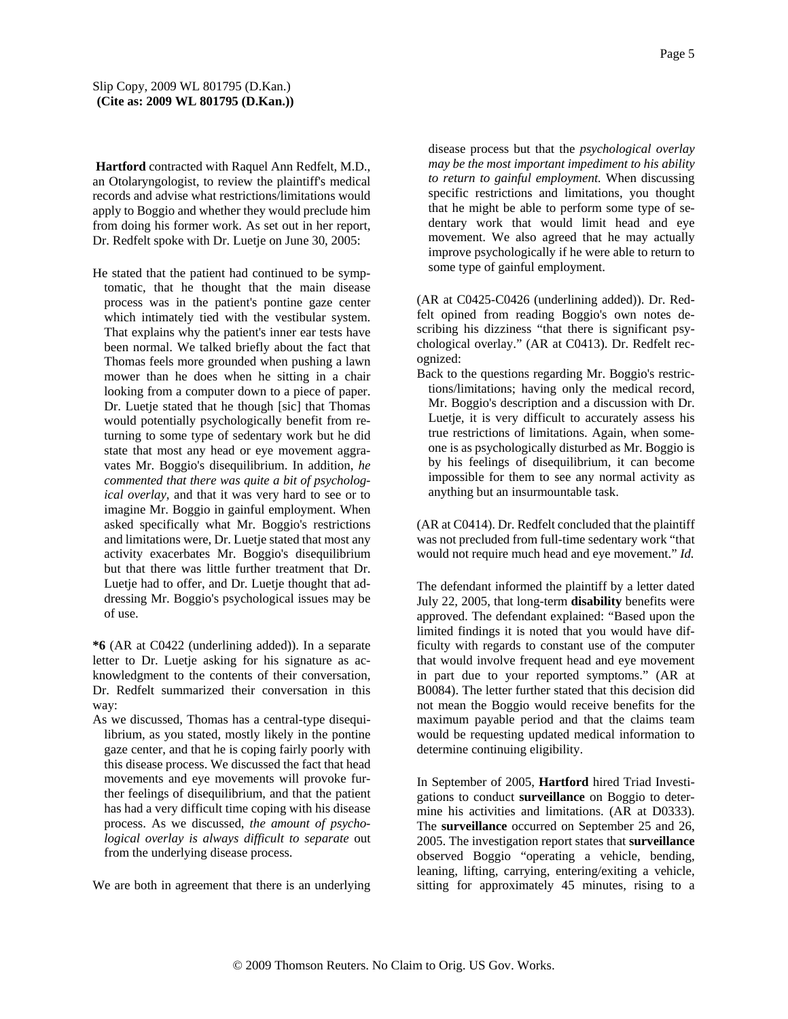**Hartford** contracted with Raquel Ann Redfelt, M.D., an Otolaryngologist, to review the plaintiff's medical records and advise what restrictions/limitations would apply to Boggio and whether they would preclude him from doing his former work. As set out in her report, Dr. Redfelt spoke with Dr. Luetje on June 30, 2005:

He stated that the patient had continued to be symptomatic, that he thought that the main disease process was in the patient's pontine gaze center which intimately tied with the vestibular system. That explains why the patient's inner ear tests have been normal. We talked briefly about the fact that Thomas feels more grounded when pushing a lawn mower than he does when he sitting in a chair looking from a computer down to a piece of paper. Dr. Luetje stated that he though [sic] that Thomas would potentially psychologically benefit from returning to some type of sedentary work but he did state that most any head or eye movement aggravates Mr. Boggio's disequilibrium. In addition, *he commented that there was quite a bit of psychological overlay,* and that it was very hard to see or to imagine Mr. Boggio in gainful employment. When asked specifically what Mr. Boggio's restrictions and limitations were, Dr. Luetje stated that most any activity exacerbates Mr. Boggio's disequilibrium but that there was little further treatment that Dr. Luetje had to offer, and Dr. Luetje thought that addressing Mr. Boggio's psychological issues may be of use.

**\*6** (AR at C0422 (underlining added)). In a separate letter to Dr. Luetje asking for his signature as acknowledgment to the contents of their conversation, Dr. Redfelt summarized their conversation in this way:

As we discussed, Thomas has a central-type disequilibrium, as you stated, mostly likely in the pontine gaze center, and that he is coping fairly poorly with this disease process. We discussed the fact that head movements and eye movements will provoke further feelings of disequilibrium, and that the patient has had a very difficult time coping with his disease process. As we discussed, *the amount of psychological overlay is always difficult to separate* out from the underlying disease process.

We are both in agreement that there is an underlying

disease process but that the *psychological overlay may be the most important impediment to his ability to return to gainful employment.* When discussing specific restrictions and limitations, you thought that he might be able to perform some type of sedentary work that would limit head and eye movement. We also agreed that he may actually improve psychologically if he were able to return to some type of gainful employment.

(AR at C0425-C0426 (underlining added)). Dr. Redfelt opined from reading Boggio's own notes describing his dizziness "that there is significant psychological overlay." (AR at C0413). Dr. Redfelt recognized:

Back to the questions regarding Mr. Boggio's restrictions/limitations; having only the medical record, Mr. Boggio's description and a discussion with Dr. Luetje, it is very difficult to accurately assess his true restrictions of limitations. Again, when someone is as psychologically disturbed as Mr. Boggio is by his feelings of disequilibrium, it can become impossible for them to see any normal activity as anything but an insurmountable task.

(AR at C0414). Dr. Redfelt concluded that the plaintiff was not precluded from full-time sedentary work "that would not require much head and eye movement." *Id.*

The defendant informed the plaintiff by a letter dated July 22, 2005, that long-term **disability** benefits were approved. The defendant explained: "Based upon the limited findings it is noted that you would have difficulty with regards to constant use of the computer that would involve frequent head and eye movement in part due to your reported symptoms." (AR at B0084). The letter further stated that this decision did not mean the Boggio would receive benefits for the maximum payable period and that the claims team would be requesting updated medical information to determine continuing eligibility.

In September of 2005, **Hartford** hired Triad Investigations to conduct **surveillance** on Boggio to determine his activities and limitations. (AR at D0333). The **surveillance** occurred on September 25 and 26, 2005. The investigation report states that **surveillance** observed Boggio "operating a vehicle, bending, leaning, lifting, carrying, entering/exiting a vehicle, sitting for approximately 45 minutes, rising to a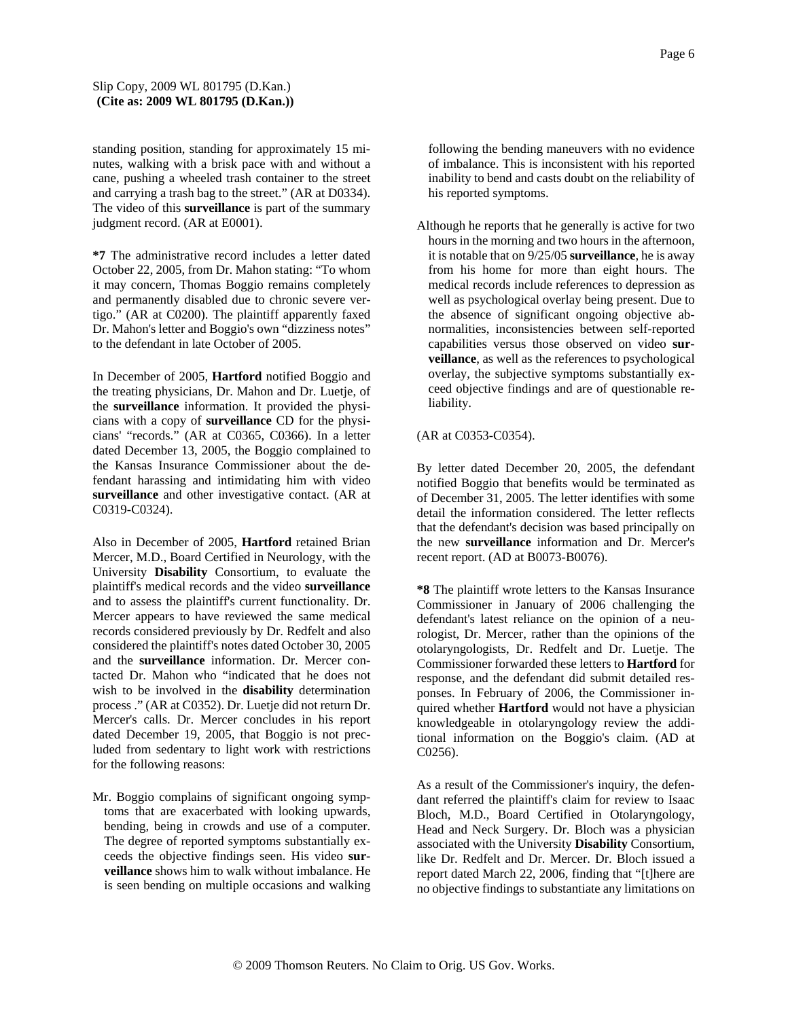standing position, standing for approximately 15 minutes, walking with a brisk pace with and without a cane, pushing a wheeled trash container to the street and carrying a trash bag to the street." (AR at D0334). The video of this **surveillance** is part of the summary judgment record. (AR at E0001).

**\*7** The administrative record includes a letter dated October 22, 2005, from Dr. Mahon stating: "To whom it may concern, Thomas Boggio remains completely and permanently disabled due to chronic severe vertigo." (AR at C0200). The plaintiff apparently faxed Dr. Mahon's letter and Boggio's own "dizziness notes" to the defendant in late October of 2005.

In December of 2005, **Hartford** notified Boggio and the treating physicians, Dr. Mahon and Dr. Luetje, of the **surveillance** information. It provided the physicians with a copy of **surveillance** CD for the physicians' "records." (AR at C0365, C0366). In a letter dated December 13, 2005, the Boggio complained to the Kansas Insurance Commissioner about the defendant harassing and intimidating him with video **surveillance** and other investigative contact. (AR at C0319-C0324).

Also in December of 2005, **Hartford** retained Brian Mercer, M.D., Board Certified in Neurology, with the University **Disability** Consortium, to evaluate the plaintiff's medical records and the video **surveillance** and to assess the plaintiff's current functionality. Dr. Mercer appears to have reviewed the same medical records considered previously by Dr. Redfelt and also considered the plaintiff's notes dated October 30, 2005 and the **surveillance** information. Dr. Mercer contacted Dr. Mahon who "indicated that he does not wish to be involved in the **disability** determination process ." (AR at C0352). Dr. Luetje did not return Dr. Mercer's calls. Dr. Mercer concludes in his report dated December 19, 2005, that Boggio is not precluded from sedentary to light work with restrictions for the following reasons:

Mr. Boggio complains of significant ongoing symptoms that are exacerbated with looking upwards, bending, being in crowds and use of a computer. The degree of reported symptoms substantially exceeds the objective findings seen. His video **surveillance** shows him to walk without imbalance. He is seen bending on multiple occasions and walking following the bending maneuvers with no evidence of imbalance. This is inconsistent with his reported inability to bend and casts doubt on the reliability of his reported symptoms.

Although he reports that he generally is active for two hours in the morning and two hours in the afternoon, it is notable that on 9/25/05 **surveillance**, he is away from his home for more than eight hours. The medical records include references to depression as well as psychological overlay being present. Due to the absence of significant ongoing objective abnormalities, inconsistencies between self-reported capabilities versus those observed on video **surveillance**, as well as the references to psychological overlay, the subjective symptoms substantially exceed objective findings and are of questionable reliability.

# (AR at C0353-C0354).

By letter dated December 20, 2005, the defendant notified Boggio that benefits would be terminated as of December 31, 2005. The letter identifies with some detail the information considered. The letter reflects that the defendant's decision was based principally on the new **surveillance** information and Dr. Mercer's recent report. (AD at B0073-B0076).

**\*8** The plaintiff wrote letters to the Kansas Insurance Commissioner in January of 2006 challenging the defendant's latest reliance on the opinion of a neurologist, Dr. Mercer, rather than the opinions of the otolaryngologists, Dr. Redfelt and Dr. Luetje. The Commissioner forwarded these letters to **Hartford** for response, and the defendant did submit detailed responses. In February of 2006, the Commissioner inquired whether **Hartford** would not have a physician knowledgeable in otolaryngology review the additional information on the Boggio's claim. (AD at C0256).

As a result of the Commissioner's inquiry, the defendant referred the plaintiff's claim for review to Isaac Bloch, M.D., Board Certified in Otolaryngology, Head and Neck Surgery. Dr. Bloch was a physician associated with the University **Disability** Consortium, like Dr. Redfelt and Dr. Mercer. Dr. Bloch issued a report dated March 22, 2006, finding that "[t]here are no objective findings to substantiate any limitations on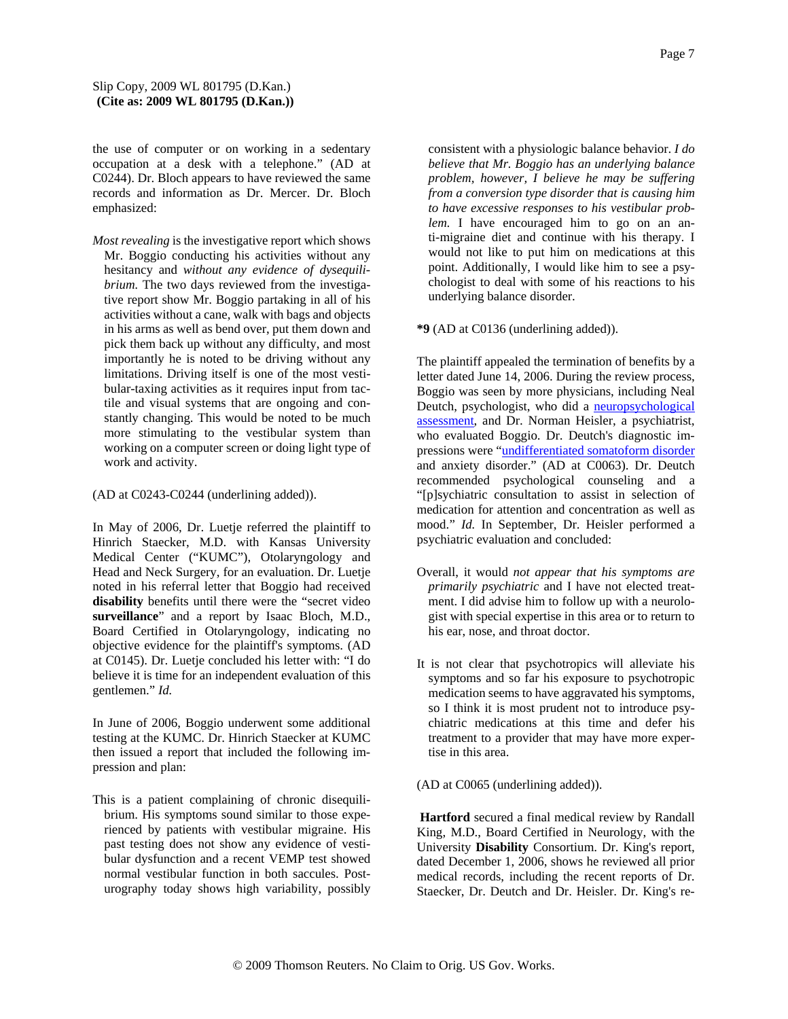the use of computer or on working in a sedentary occupation at a desk with a telephone." (AD at C0244). Dr. Bloch appears to have reviewed the same records and information as Dr. Mercer. Dr. Bloch emphasized:

*Most revealing* is the investigative report which shows Mr. Boggio conducting his activities without any hesitancy and *without any evidence of dysequilibrium.* The two days reviewed from the investigative report show Mr. Boggio partaking in all of his activities without a cane, walk with bags and objects in his arms as well as bend over, put them down and pick them back up without any difficulty, and most importantly he is noted to be driving without any limitations. Driving itself is one of the most vestibular-taxing activities as it requires input from tactile and visual systems that are ongoing and constantly changing. This would be noted to be much more stimulating to the vestibular system than working on a computer screen or doing light type of work and activity.

(AD at C0243-C0244 (underlining added)).

In May of 2006, Dr. Luetje referred the plaintiff to Hinrich Staecker, M.D. with Kansas University Medical Center ("KUMC"), Otolaryngology and Head and Neck Surgery, for an evaluation. Dr. Luetje noted in his referral letter that Boggio had received **disability** benefits until there were the "secret video **surveillance**" and a report by Isaac Bloch, M.D., Board Certified in Otolaryngology, indicating no objective evidence for the plaintiff's symptoms. (AD at C0145). Dr. Luetje concluded his letter with: "I do believe it is time for an independent evaluation of this gentlemen." *Id.*

In June of 2006, Boggio underwent some additional testing at the KUMC. Dr. Hinrich Staecker at KUMC then issued a report that included the following impression and plan:

This is a patient complaining of chronic disequilibrium. His symptoms sound similar to those experienced by patients with vestibular migraine. His past testing does not show any evidence of vestibular dysfunction and a recent VEMP test showed normal vestibular function in both saccules. Posturography today shows high variability, possibly

consistent with a physiologic balance behavior. *I do believe that Mr. Boggio has an underlying balance problem, however, I believe he may be suffering from a conversion type disorder that is causing him to have excessive responses to his vestibular problem.* I have encouraged him to go on an anti-migraine diet and continue with his therapy. I would not like to put him on medications at this point. Additionally, I would like him to see a psychologist to deal with some of his reactions to his underlying balance disorder.

**\*9** (AD at C0136 (underlining added)).

The plaintiff appealed the termination of benefits by a letter dated June 14, 2006. During the review process, Boggio was seen by more physicians, including Neal Deutch, psychologist, who did a neuropsychological assessment, and Dr. Norman Heisler, a psychiatrist, who evaluated Boggio. Dr. Deutch's diagnostic impressions were "undifferentiated somatoform disorder and anxiety disorder." (AD at C0063). Dr. Deutch recommended psychological counseling and a "[p]sychiatric consultation to assist in selection of medication for attention and concentration as well as mood." *Id.* In September, Dr. Heisler performed a psychiatric evaluation and concluded:

- Overall, it would *not appear that his symptoms are primarily psychiatric* and I have not elected treatment. I did advise him to follow up with a neurologist with special expertise in this area or to return to his ear, nose, and throat doctor.
- It is not clear that psychotropics will alleviate his symptoms and so far his exposure to psychotropic medication seems to have aggravated his symptoms, so I think it is most prudent not to introduce psychiatric medications at this time and defer his treatment to a provider that may have more expertise in this area.

(AD at C0065 (underlining added)).

**Hartford** secured a final medical review by Randall King, M.D., Board Certified in Neurology, with the University **Disability** Consortium. Dr. King's report, dated December 1, 2006, shows he reviewed all prior medical records, including the recent reports of Dr. Staecker, Dr. Deutch and Dr. Heisler. Dr. King's re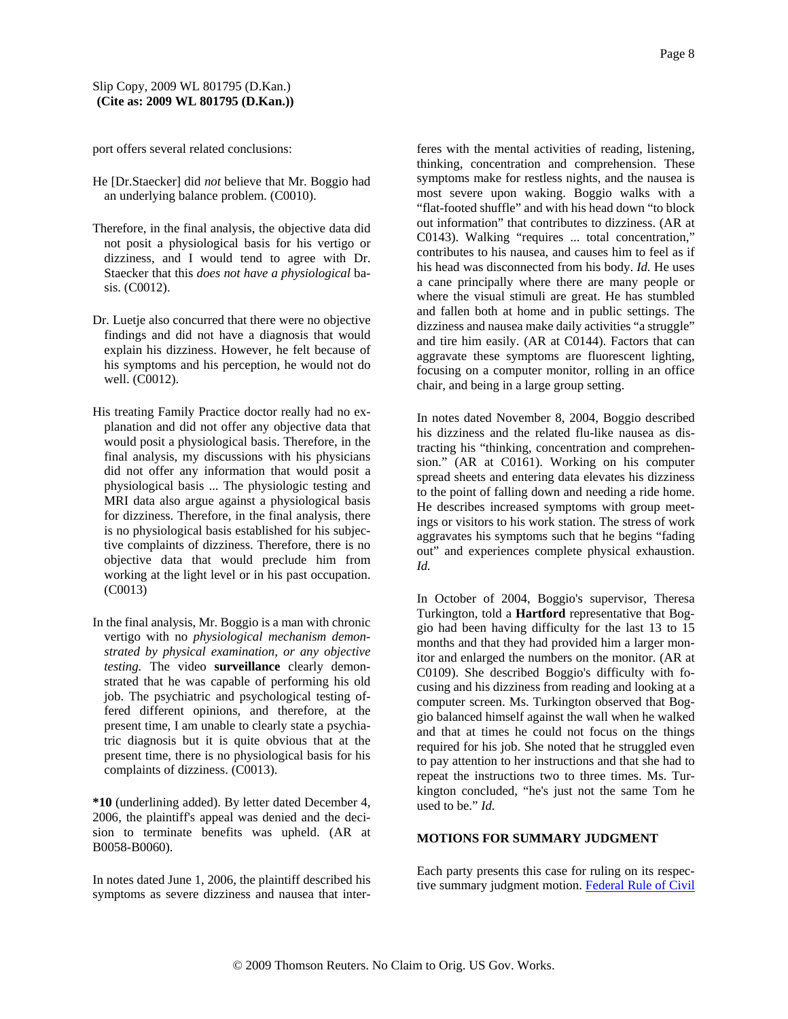port offers several related conclusions:

- He [Dr.Staecker] did *not* believe that Mr. Boggio had an underlying balance problem. (C0010).
- Therefore, in the final analysis, the objective data did not posit a physiological basis for his vertigo or dizziness, and I would tend to agree with Dr. Staecker that this *does not have a physiological* basis. (C0012).
- Dr. Luetje also concurred that there were no objective findings and did not have a diagnosis that would explain his dizziness. However, he felt because of his symptoms and his perception, he would not do well. (C0012).
- His treating Family Practice doctor really had no explanation and did not offer any objective data that would posit a physiological basis. Therefore, in the final analysis, my discussions with his physicians did not offer any information that would posit a physiological basis ... The physiologic testing and MRI data also argue against a physiological basis for dizziness. Therefore, in the final analysis, there is no physiological basis established for his subjective complaints of dizziness. Therefore, there is no objective data that would preclude him from working at the light level or in his past occupation. (C0013)
- In the final analysis, Mr. Boggio is a man with chronic vertigo with no *physiological mechanism demonstrated by physical examination, or any objective testing.* The video **surveillance** clearly demonstrated that he was capable of performing his old job. The psychiatric and psychological testing offered different opinions, and therefore, at the present time, I am unable to clearly state a psychiatric diagnosis but it is quite obvious that at the present time, there is no physiological basis for his complaints of dizziness. (C0013).

**\*10** (underlining added). By letter dated December 4, 2006, the plaintiff's appeal was denied and the decision to terminate benefits was upheld. (AR at B0058-B0060).

In notes dated June 1, 2006, the plaintiff described his symptoms as severe dizziness and nausea that interferes with the mental activities of reading, listening, thinking, concentration and comprehension. These symptoms make for restless nights, and the nausea is most severe upon waking. Boggio walks with a "flat-footed shuffle" and with his head down "to block out information" that contributes to dizziness. (AR at C0143). Walking "requires ... total concentration," contributes to his nausea, and causes him to feel as if his head was disconnected from his body. *Id.* He uses a cane principally where there are many people or where the visual stimuli are great. He has stumbled and fallen both at home and in public settings. The dizziness and nausea make daily activities "a struggle" and tire him easily. (AR at C0144). Factors that can aggravate these symptoms are fluorescent lighting, focusing on a computer monitor, rolling in an office chair, and being in a large group setting.

In notes dated November 8, 2004, Boggio described his dizziness and the related flu-like nausea as distracting his "thinking, concentration and comprehension." (AR at C0161). Working on his computer spread sheets and entering data elevates his dizziness to the point of falling down and needing a ride home. He describes increased symptoms with group meetings or visitors to his work station. The stress of work aggravates his symptoms such that he begins "fading out" and experiences complete physical exhaustion. *Id.*

In October of 2004, Boggio's supervisor, Theresa Turkington, told a **Hartford** representative that Boggio had been having difficulty for the last 13 to 15 months and that they had provided him a larger monitor and enlarged the numbers on the monitor. (AR at C0109). She described Boggio's difficulty with focusing and his dizziness from reading and looking at a computer screen. Ms. Turkington observed that Boggio balanced himself against the wall when he walked and that at times he could not focus on the things required for his job. She noted that he struggled even to pay attention to her instructions and that she had to repeat the instructions two to three times. Ms. Turkington concluded, "he's just not the same Tom he used to be." *Id.*

## **MOTIONS FOR SUMMARY JUDGMENT**

Each party presents this case for ruling on its respective summary judgment motion. Federal Rule of Civil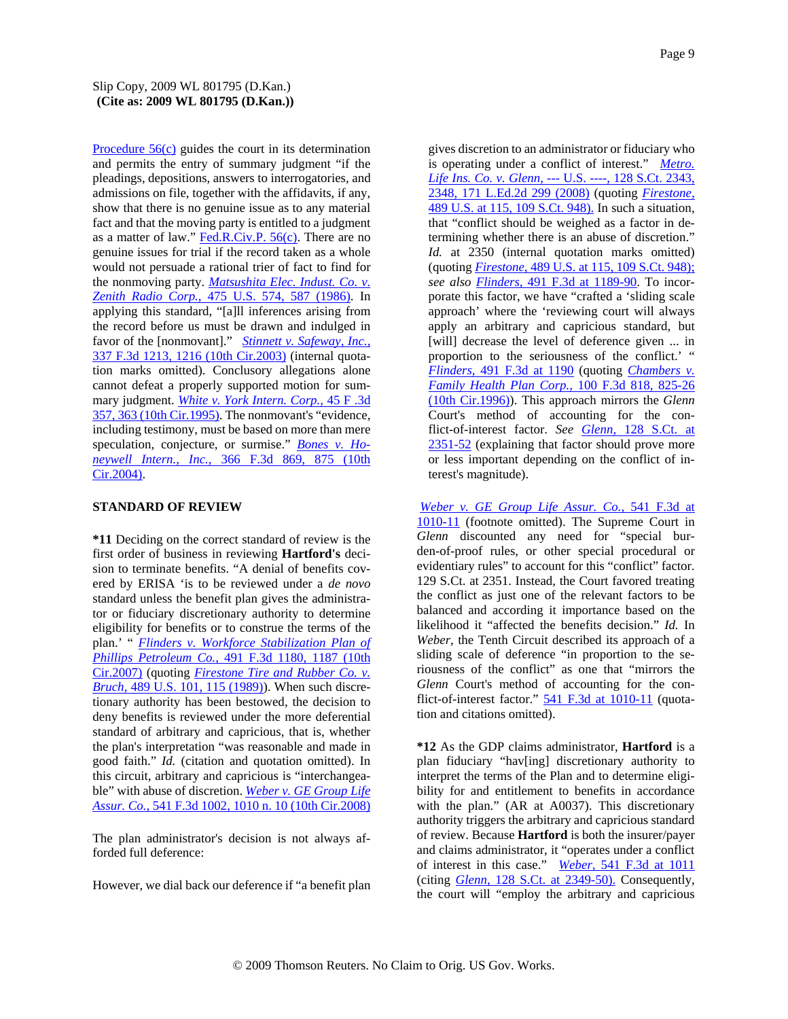Procedure 56(c) guides the court in its determination and permits the entry of summary judgment "if the pleadings, depositions, answers to interrogatories, and admissions on file, together with the affidavits, if any, show that there is no genuine issue as to any material fact and that the moving party is entitled to a judgment as a matter of law." Fed.R.Civ.P. 56(c). There are no genuine issues for trial if the record taken as a whole would not persuade a rational trier of fact to find for the nonmoving party. *Matsushita Elec. Indust. Co. v. Zenith Radio Corp.,* 475 U.S. 574, 587 (1986). In applying this standard, "[a]ll inferences arising from the record before us must be drawn and indulged in favor of the [nonmovant]." *Stinnett v. Safeway, Inc.,* 337 F.3d 1213, 1216 (10th Cir.2003) (internal quotation marks omitted). Conclusory allegations alone cannot defeat a properly supported motion for summary judgment. *White v. York Intern. Corp.,* 45 F .3d 357, 363 (10th Cir.1995). The nonmovant's "evidence, including testimony, must be based on more than mere speculation, conjecture, or surmise." *Bones v. Honeywell Intern., Inc.,* 366 F.3d 869, 875 (10th Cir.2004).

## **STANDARD OF REVIEW**

**\*11** Deciding on the correct standard of review is the first order of business in reviewing **Hartford's** decision to terminate benefits. "A denial of benefits covered by ERISA 'is to be reviewed under a *de novo* standard unless the benefit plan gives the administrator or fiduciary discretionary authority to determine eligibility for benefits or to construe the terms of the plan.' " *Flinders v. Workforce Stabilization Plan of Phillips Petroleum Co.,* 491 F.3d 1180, 1187 (10th Cir.2007) (quoting *Firestone Tire and Rubber Co. v. Bruch,* 489 U.S. 101, 115 (1989)). When such discretionary authority has been bestowed, the decision to deny benefits is reviewed under the more deferential standard of arbitrary and capricious, that is, whether the plan's interpretation "was reasonable and made in good faith." *Id.* (citation and quotation omitted). In this circuit, arbitrary and capricious is "interchangeable" with abuse of discretion. *Weber v. GE Group Life Assur. Co.,* 541 F.3d 1002, 1010 n. 10 (10th Cir.2008)

The plan administrator's decision is not always afforded full deference:

However, we dial back our deference if "a benefit plan

gives discretion to an administrator or fiduciary who is operating under a conflict of interest." *Metro. Life Ins. Co. v. Glenn,* --- U.S. ----, 128 S.Ct. 2343, 2348, 171 L.Ed.2d 299 (2008) (quoting *Firestone,* 489 U.S. at 115, 109 S.Ct. 948). In such a situation, that "conflict should be weighed as a factor in determining whether there is an abuse of discretion." *Id.* at 2350 (internal quotation marks omitted) (quoting *Firestone,* 489 U.S. at 115, 109 S.Ct. 948); *see also Flinders,* 491 F.3d at 1189-90. To incorporate this factor, we have "crafted a 'sliding scale approach' where the 'reviewing court will always apply an arbitrary and capricious standard, but [will] decrease the level of deference given ... in proportion to the seriousness of the conflict.' " *Flinders,* 491 F.3d at 1190 (quoting *Chambers v. Family Health Plan Corp.,* 100 F.3d 818, 825-26 (10th Cir.1996)). This approach mirrors the *Glenn* Court's method of accounting for the conflict-of-interest factor. *See Glenn,* 128 S.Ct. at 2351-52 (explaining that factor should prove more or less important depending on the conflict of interest's magnitude).

*Weber v. GE Group Life Assur. Co.,* 541 F.3d at 1010-11 (footnote omitted). The Supreme Court in *Glenn* discounted any need for "special burden-of-proof rules, or other special procedural or evidentiary rules" to account for this "conflict" factor. 129 S.Ct. at 2351. Instead, the Court favored treating the conflict as just one of the relevant factors to be balanced and according it importance based on the likelihood it "affected the benefits decision." *Id.* In *Weber,* the Tenth Circuit described its approach of a sliding scale of deference "in proportion to the seriousness of the conflict" as one that "mirrors the *Glenn* Court's method of accounting for the conflict-of-interest factor." 541 F.3d at 1010-11 (quotation and citations omitted).

**\*12** As the GDP claims administrator, **Hartford** is a plan fiduciary "hav[ing] discretionary authority to interpret the terms of the Plan and to determine eligibility for and entitlement to benefits in accordance with the plan." (AR at A0037). This discretionary authority triggers the arbitrary and capricious standard of review. Because **Hartford** is both the insurer/payer and claims administrator, it "operates under a conflict of interest in this case." *Weber,* 541 F.3d at 1011 (citing *Glenn,* 128 S.Ct. at 2349-50). Consequently, the court will "employ the arbitrary and capricious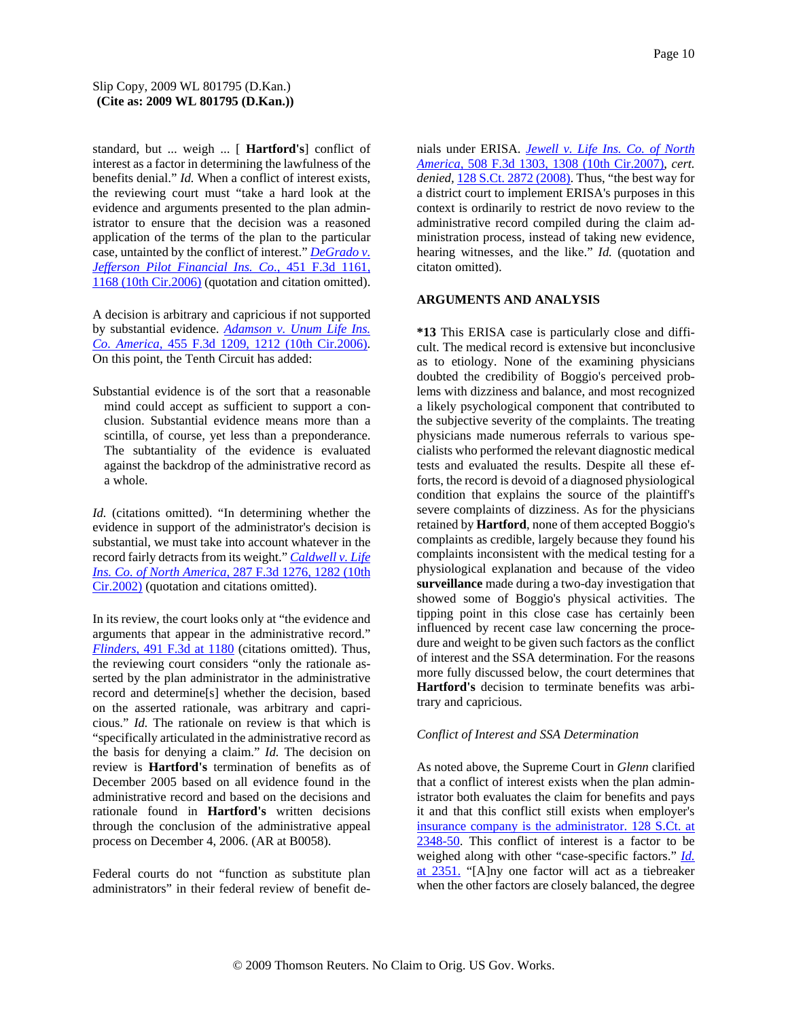standard, but ... weigh ... [ **Hartford's**] conflict of interest as a factor in determining the lawfulness of the benefits denial." *Id.* When a conflict of interest exists, the reviewing court must "take a hard look at the evidence and arguments presented to the plan administrator to ensure that the decision was a reasoned application of the terms of the plan to the particular case, untainted by the conflict of interest." *DeGrado v. Jefferson Pilot Financial Ins. Co.,* 451 F.3d 1161, 1168 (10th Cir.2006) (quotation and citation omitted).

A decision is arbitrary and capricious if not supported by substantial evidence. *Adamson v. Unum Life Ins. Co. America,* 455 F.3d 1209, 1212 (10th Cir.2006). On this point, the Tenth Circuit has added:

Substantial evidence is of the sort that a reasonable mind could accept as sufficient to support a conclusion. Substantial evidence means more than a scintilla, of course, yet less than a preponderance. The subtantiality of the evidence is evaluated against the backdrop of the administrative record as a whole.

*Id.* (citations omitted). "In determining whether the evidence in support of the administrator's decision is substantial, we must take into account whatever in the record fairly detracts from its weight." *Caldwell v. Life Ins. Co. of North America,* 287 F.3d 1276, 1282 (10th Cir.2002) (quotation and citations omitted).

In its review, the court looks only at "the evidence and arguments that appear in the administrative record." *Flinders,* 491 F.3d at 1180 (citations omitted). Thus, the reviewing court considers "only the rationale asserted by the plan administrator in the administrative record and determine[s] whether the decision, based on the asserted rationale, was arbitrary and capricious." *Id.* The rationale on review is that which is "specifically articulated in the administrative record as the basis for denying a claim." *Id.* The decision on review is **Hartford's** termination of benefits as of December 2005 based on all evidence found in the administrative record and based on the decisions and rationale found in **Hartford's** written decisions through the conclusion of the administrative appeal process on December 4, 2006. (AR at B0058).

Federal courts do not "function as substitute plan administrators" in their federal review of benefit de-

nials under ERISA. *Jewell v. Life Ins. Co. of North America,* 508 F.3d 1303, 1308 (10th Cir.2007), *cert. denied,* 128 S.Ct. 2872 (2008). Thus, "the best way for a district court to implement ERISA's purposes in this context is ordinarily to restrict de novo review to the administrative record compiled during the claim administration process, instead of taking new evidence, hearing witnesses, and the like." *Id.* (quotation and citaton omitted).

## **ARGUMENTS AND ANALYSIS**

**\*13** This ERISA case is particularly close and difficult. The medical record is extensive but inconclusive as to etiology. None of the examining physicians doubted the credibility of Boggio's perceived problems with dizziness and balance, and most recognized a likely psychological component that contributed to the subjective severity of the complaints. The treating physicians made numerous referrals to various specialists who performed the relevant diagnostic medical tests and evaluated the results. Despite all these efforts, the record is devoid of a diagnosed physiological condition that explains the source of the plaintiff's severe complaints of dizziness. As for the physicians retained by **Hartford**, none of them accepted Boggio's complaints as credible, largely because they found his complaints inconsistent with the medical testing for a physiological explanation and because of the video **surveillance** made during a two-day investigation that showed some of Boggio's physical activities. The tipping point in this close case has certainly been influenced by recent case law concerning the procedure and weight to be given such factors as the conflict of interest and the SSA determination. For the reasons more fully discussed below, the court determines that **Hartford's** decision to terminate benefits was arbitrary and capricious.

#### *Conflict of Interest and SSA Determination*

As noted above, the Supreme Court in *Glenn* clarified that a conflict of interest exists when the plan administrator both evaluates the claim for benefits and pays it and that this conflict still exists when employer's insurance company is the administrator. 128 S.Ct. at 2348-50. This conflict of interest is a factor to be weighed along with other "case-specific factors." *Id.* at 2351. "[A]ny one factor will act as a tiebreaker when the other factors are closely balanced, the degree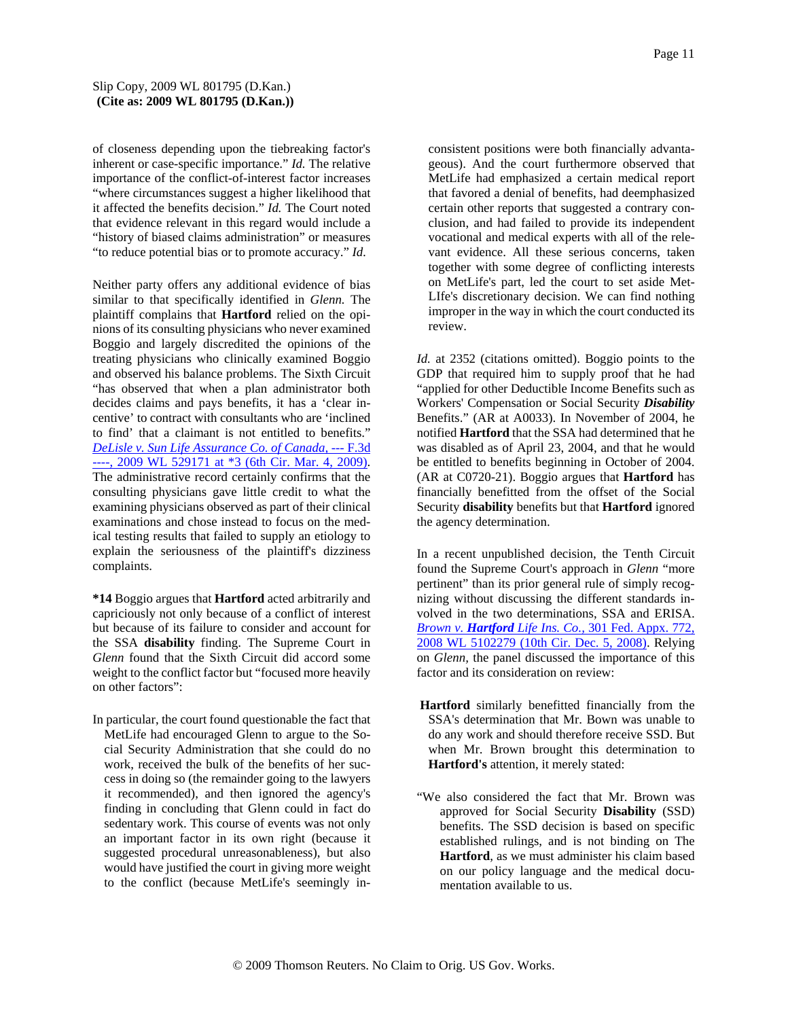of closeness depending upon the tiebreaking factor's inherent or case-specific importance." *Id.* The relative importance of the conflict-of-interest factor increases "where circumstances suggest a higher likelihood that it affected the benefits decision." *Id.* The Court noted that evidence relevant in this regard would include a "history of biased claims administration" or measures "to reduce potential bias or to promote accuracy." *Id.*

Neither party offers any additional evidence of bias similar to that specifically identified in *Glenn.* The plaintiff complains that **Hartford** relied on the opinions of its consulting physicians who never examined Boggio and largely discredited the opinions of the treating physicians who clinically examined Boggio and observed his balance problems. The Sixth Circuit "has observed that when a plan administrator both decides claims and pays benefits, it has a 'clear incentive' to contract with consultants who are 'inclined to find' that a claimant is not entitled to benefits." *DeLisle v. Sun Life Assurance Co. of Canada,* --- F.3d ----, 2009 WL 529171 at \*3 (6th Cir. Mar. 4, 2009). The administrative record certainly confirms that the consulting physicians gave little credit to what the examining physicians observed as part of their clinical examinations and chose instead to focus on the medical testing results that failed to supply an etiology to explain the seriousness of the plaintiff's dizziness complaints.

**\*14** Boggio argues that **Hartford** acted arbitrarily and capriciously not only because of a conflict of interest but because of its failure to consider and account for the SSA **disability** finding. The Supreme Court in *Glenn* found that the Sixth Circuit did accord some weight to the conflict factor but "focused more heavily on other factors":

In particular, the court found questionable the fact that MetLife had encouraged Glenn to argue to the Social Security Administration that she could do no work, received the bulk of the benefits of her success in doing so (the remainder going to the lawyers it recommended), and then ignored the agency's finding in concluding that Glenn could in fact do sedentary work. This course of events was not only an important factor in its own right (because it suggested procedural unreasonableness), but also would have justified the court in giving more weight to the conflict (because MetLife's seemingly inconsistent positions were both financially advantageous). And the court furthermore observed that MetLife had emphasized a certain medical report that favored a denial of benefits, had deemphasized certain other reports that suggested a contrary conclusion, and had failed to provide its independent vocational and medical experts with all of the relevant evidence. All these serious concerns, taken together with some degree of conflicting interests on MetLife's part, led the court to set aside Met-LIfe's discretionary decision. We can find nothing improper in the way in which the court conducted its review.

*Id.* at 2352 (citations omitted). Boggio points to the GDP that required him to supply proof that he had "applied for other Deductible Income Benefits such as Workers' Compensation or Social Security *Disability* Benefits." (AR at A0033). In November of 2004, he notified **Hartford** that the SSA had determined that he was disabled as of April 23, 2004, and that he would be entitled to benefits beginning in October of 2004. (AR at C0720-21). Boggio argues that **Hartford** has financially benefitted from the offset of the Social Security **disability** benefits but that **Hartford** ignored the agency determination.

In a recent unpublished decision, the Tenth Circuit found the Supreme Court's approach in *Glenn* "more pertinent" than its prior general rule of simply recognizing without discussing the different standards involved in the two determinations, SSA and ERISA. *Brown v. Hartford Life Ins. Co.,* 301 Fed. Appx. 772, 2008 WL 5102279 (10th Cir. Dec. 5, 2008). Relying on *Glenn,* the panel discussed the importance of this factor and its consideration on review:

- **Hartford** similarly benefitted financially from the SSA's determination that Mr. Bown was unable to do any work and should therefore receive SSD. But when Mr. Brown brought this determination to **Hartford's** attention, it merely stated:
- "We also considered the fact that Mr. Brown was approved for Social Security **Disability** (SSD) benefits. The SSD decision is based on specific established rulings, and is not binding on The **Hartford**, as we must administer his claim based on our policy language and the medical documentation available to us.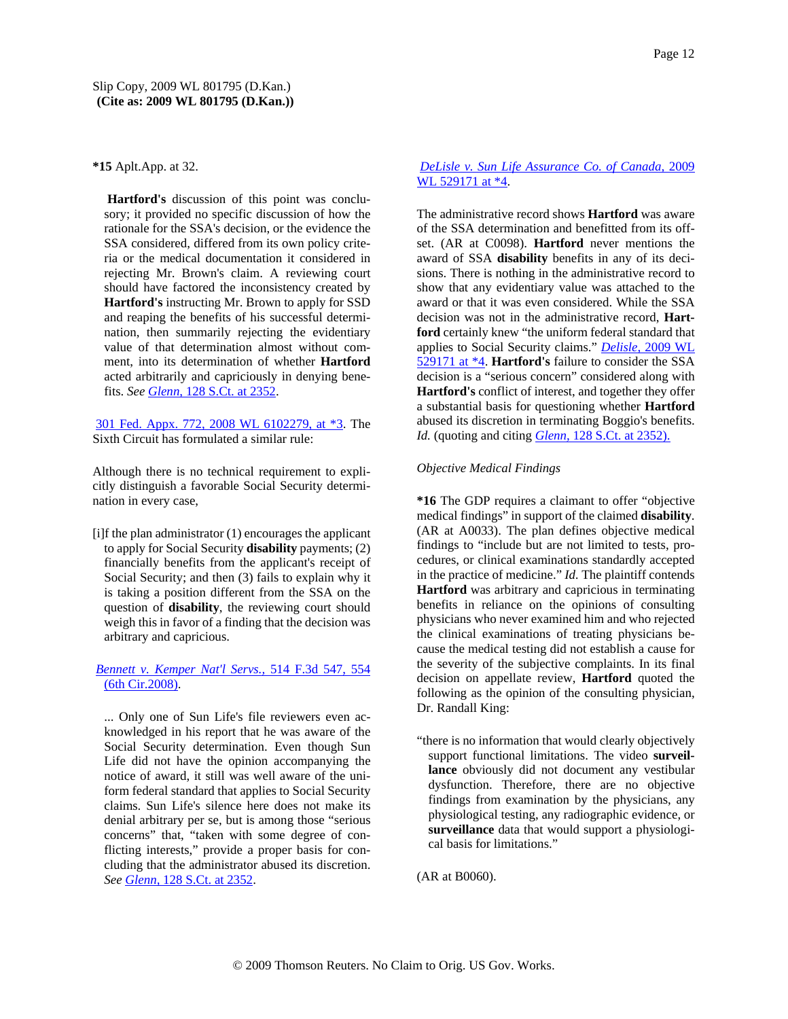**\*15** Aplt.App. at 32.

**Hartford's** discussion of this point was conclusory; it provided no specific discussion of how the rationale for the SSA's decision, or the evidence the SSA considered, differed from its own policy criteria or the medical documentation it considered in rejecting Mr. Brown's claim. A reviewing court should have factored the inconsistency created by **Hartford's** instructing Mr. Brown to apply for SSD and reaping the benefits of his successful determination, then summarily rejecting the evidentiary value of that determination almost without comment, into its determination of whether **Hartford** acted arbitrarily and capriciously in denying benefits. *See Glenn,* 128 S.Ct. at 2352.

301 Fed. Appx. 772, 2008 WL 6102279, at \*3. The Sixth Circuit has formulated a similar rule:

Although there is no technical requirement to explicitly distinguish a favorable Social Security determination in every case,

[i]f the plan administrator (1) encourages the applicant to apply for Social Security **disability** payments; (2) financially benefits from the applicant's receipt of Social Security; and then (3) fails to explain why it is taking a position different from the SSA on the question of **disability**, the reviewing court should weigh this in favor of a finding that the decision was arbitrary and capricious.

# *Bennett v. Kemper Nat'l Servs.,* 514 F.3d 547, 554 (6th Cir.2008).

... Only one of Sun Life's file reviewers even acknowledged in his report that he was aware of the Social Security determination. Even though Sun Life did not have the opinion accompanying the notice of award, it still was well aware of the uniform federal standard that applies to Social Security claims. Sun Life's silence here does not make its denial arbitrary per se, but is among those "serious concerns" that, "taken with some degree of conflicting interests," provide a proper basis for concluding that the administrator abused its discretion. *See Glenn,* 128 S.Ct. at 2352.

# *DeLisle v. Sun Life Assurance Co. of Canada,* 2009 WL 529171 at \*4.

The administrative record shows **Hartford** was aware of the SSA determination and benefitted from its offset. (AR at C0098). **Hartford** never mentions the award of SSA **disability** benefits in any of its decisions. There is nothing in the administrative record to show that any evidentiary value was attached to the award or that it was even considered. While the SSA decision was not in the administrative record, **Hartford** certainly knew "the uniform federal standard that applies to Social Security claims." *Delisle,* 2009 WL 529171 at \*4. **Hartford's** failure to consider the SSA decision is a "serious concern" considered along with **Hartford's** conflict of interest, and together they offer a substantial basis for questioning whether **Hartford** abused its discretion in terminating Boggio's benefits. *Id.* (quoting and citing *Glenn,* 128 S.Ct. at 2352).

## *Objective Medical Findings*

**\*16** The GDP requires a claimant to offer "objective medical findings" in support of the claimed **disability**. (AR at A0033). The plan defines objective medical findings to "include but are not limited to tests, procedures, or clinical examinations standardly accepted in the practice of medicine." *Id.* The plaintiff contends **Hartford** was arbitrary and capricious in terminating benefits in reliance on the opinions of consulting physicians who never examined him and who rejected the clinical examinations of treating physicians because the medical testing did not establish a cause for the severity of the subjective complaints. In its final decision on appellate review, **Hartford** quoted the following as the opinion of the consulting physician, Dr. Randall King:

"there is no information that would clearly objectively support functional limitations. The video **surveillance** obviously did not document any vestibular dysfunction. Therefore, there are no objective findings from examination by the physicians, any physiological testing, any radiographic evidence, or **surveillance** data that would support a physiological basis for limitations."

(AR at B0060).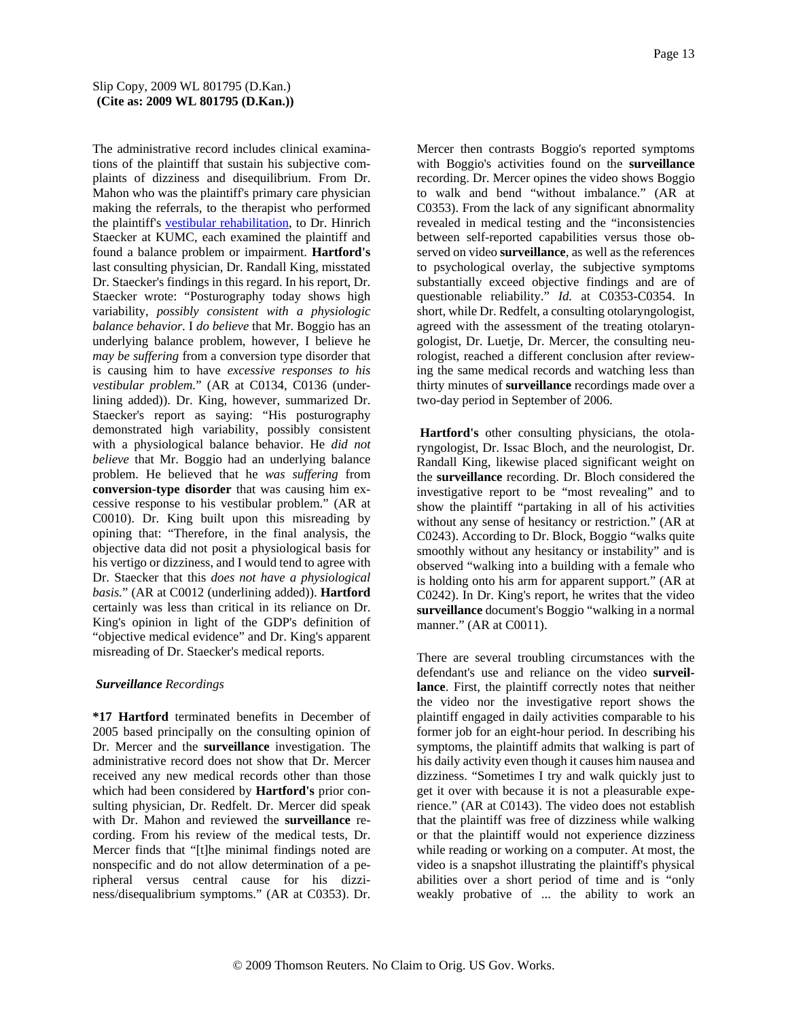The administrative record includes clinical examinations of the plaintiff that sustain his subjective complaints of dizziness and disequilibrium. From Dr. Mahon who was the plaintiff's primary care physician making the referrals, to the therapist who performed the plaintiff's vestibular rehabilitation, to Dr. Hinrich Staecker at KUMC, each examined the plaintiff and found a balance problem or impairment. **Hartford's** last consulting physician, Dr. Randall King, misstated Dr. Staecker's findings in this regard. In his report, Dr. Staecker wrote: "Posturography today shows high variability, *possibly consistent with a physiologic balance behavior.* I *do believe* that Mr. Boggio has an underlying balance problem, however, I believe he *may be suffering* from a conversion type disorder that is causing him to have *excessive responses to his vestibular problem.*" (AR at C0134, C0136 (underlining added)). Dr. King, however, summarized Dr. Staecker's report as saying: "His posturography demonstrated high variability, possibly consistent with a physiological balance behavior. He *did not believe* that Mr. Boggio had an underlying balance problem. He believed that he *was suffering* from **conversion-type disorder** that was causing him excessive response to his vestibular problem." (AR at C0010). Dr. King built upon this misreading by opining that: "Therefore, in the final analysis, the objective data did not posit a physiological basis for his vertigo or dizziness, and I would tend to agree with Dr. Staecker that this *does not have a physiological basis.*" (AR at C0012 (underlining added)). **Hartford** certainly was less than critical in its reliance on Dr. King's opinion in light of the GDP's definition of "objective medical evidence" and Dr. King's apparent misreading of Dr. Staecker's medical reports.

## *Surveillance Recordings*

**\*17 Hartford** terminated benefits in December of 2005 based principally on the consulting opinion of Dr. Mercer and the **surveillance** investigation. The administrative record does not show that Dr. Mercer received any new medical records other than those which had been considered by **Hartford's** prior consulting physician, Dr. Redfelt. Dr. Mercer did speak with Dr. Mahon and reviewed the **surveillance** recording. From his review of the medical tests, Dr. Mercer finds that "[t]he minimal findings noted are nonspecific and do not allow determination of a peripheral versus central cause for his dizziness/disequalibrium symptoms." (AR at C0353). Dr. Mercer then contrasts Boggio's reported symptoms with Boggio's activities found on the **surveillance** recording. Dr. Mercer opines the video shows Boggio to walk and bend "without imbalance." (AR at C0353). From the lack of any significant abnormality revealed in medical testing and the "inconsistencies between self-reported capabilities versus those observed on video **surveillance**, as well as the references to psychological overlay, the subjective symptoms substantially exceed objective findings and are of questionable reliability." *Id.* at C0353-C0354. In short, while Dr. Redfelt, a consulting otolaryngologist, agreed with the assessment of the treating otolaryngologist, Dr. Luetje, Dr. Mercer, the consulting neurologist, reached a different conclusion after reviewing the same medical records and watching less than thirty minutes of **surveillance** recordings made over a two-day period in September of 2006.

**Hartford's** other consulting physicians, the otolaryngologist, Dr. Issac Bloch, and the neurologist, Dr. Randall King, likewise placed significant weight on the **surveillance** recording. Dr. Bloch considered the investigative report to be "most revealing" and to show the plaintiff "partaking in all of his activities without any sense of hesitancy or restriction." (AR at C0243). According to Dr. Block, Boggio "walks quite smoothly without any hesitancy or instability" and is observed "walking into a building with a female who is holding onto his arm for apparent support." (AR at C0242). In Dr. King's report, he writes that the video **surveillance** document's Boggio "walking in a normal manner." (AR at C0011).

There are several troubling circumstances with the defendant's use and reliance on the video **surveillance**. First, the plaintiff correctly notes that neither the video nor the investigative report shows the plaintiff engaged in daily activities comparable to his former job for an eight-hour period. In describing his symptoms, the plaintiff admits that walking is part of his daily activity even though it causes him nausea and dizziness. "Sometimes I try and walk quickly just to get it over with because it is not a pleasurable experience." (AR at C0143). The video does not establish that the plaintiff was free of dizziness while walking or that the plaintiff would not experience dizziness while reading or working on a computer. At most, the video is a snapshot illustrating the plaintiff's physical abilities over a short period of time and is "only weakly probative of ... the ability to work an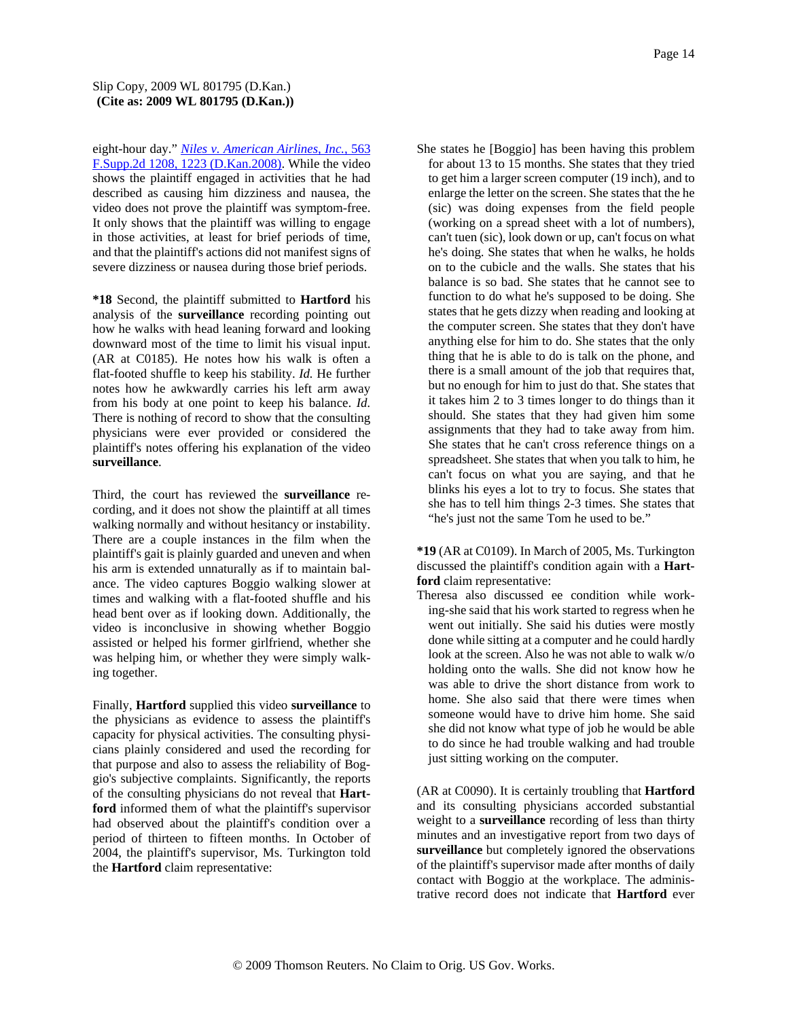## Slip Copy, 2009 WL 801795 (D.Kan.) **(Cite as: 2009 WL 801795 (D.Kan.))**

eight-hour day." *Niles v. American Airlines, Inc.,* 563 F.Supp.2d 1208, 1223 (D.Kan.2008). While the video shows the plaintiff engaged in activities that he had described as causing him dizziness and nausea, the video does not prove the plaintiff was symptom-free. It only shows that the plaintiff was willing to engage in those activities, at least for brief periods of time, and that the plaintiff's actions did not manifest signs of severe dizziness or nausea during those brief periods.

**\*18** Second, the plaintiff submitted to **Hartford** his analysis of the **surveillance** recording pointing out how he walks with head leaning forward and looking downward most of the time to limit his visual input. (AR at C0185). He notes how his walk is often a flat-footed shuffle to keep his stability. *Id.* He further notes how he awkwardly carries his left arm away from his body at one point to keep his balance. *Id.* There is nothing of record to show that the consulting physicians were ever provided or considered the plaintiff's notes offering his explanation of the video **surveillance**.

Third, the court has reviewed the **surveillance** recording, and it does not show the plaintiff at all times walking normally and without hesitancy or instability. There are a couple instances in the film when the plaintiff's gait is plainly guarded and uneven and when his arm is extended unnaturally as if to maintain balance. The video captures Boggio walking slower at times and walking with a flat-footed shuffle and his head bent over as if looking down. Additionally, the video is inconclusive in showing whether Boggio assisted or helped his former girlfriend, whether she was helping him, or whether they were simply walking together.

Finally, **Hartford** supplied this video **surveillance** to the physicians as evidence to assess the plaintiff's capacity for physical activities. The consulting physicians plainly considered and used the recording for that purpose and also to assess the reliability of Boggio's subjective complaints. Significantly, the reports of the consulting physicians do not reveal that **Hartford** informed them of what the plaintiff's supervisor had observed about the plaintiff's condition over a period of thirteen to fifteen months. In October of 2004, the plaintiff's supervisor, Ms. Turkington told the **Hartford** claim representative:

She states he [Boggio] has been having this problem for about 13 to 15 months. She states that they tried to get him a larger screen computer (19 inch), and to enlarge the letter on the screen. She states that the he (sic) was doing expenses from the field people (working on a spread sheet with a lot of numbers), can't tuen (sic), look down or up, can't focus on what he's doing. She states that when he walks, he holds on to the cubicle and the walls. She states that his balance is so bad. She states that he cannot see to function to do what he's supposed to be doing. She states that he gets dizzy when reading and looking at the computer screen. She states that they don't have anything else for him to do. She states that the only thing that he is able to do is talk on the phone, and there is a small amount of the job that requires that, but no enough for him to just do that. She states that it takes him 2 to 3 times longer to do things than it should. She states that they had given him some assignments that they had to take away from him. She states that he can't cross reference things on a spreadsheet. She states that when you talk to him, he can't focus on what you are saying, and that he blinks his eyes a lot to try to focus. She states that she has to tell him things 2-3 times. She states that "he's just not the same Tom he used to be."

**\*19** (AR at C0109). In March of 2005, Ms. Turkington discussed the plaintiff's condition again with a **Hartford** claim representative:

Theresa also discussed ee condition while working-she said that his work started to regress when he went out initially. She said his duties were mostly done while sitting at a computer and he could hardly look at the screen. Also he was not able to walk w/o holding onto the walls. She did not know how he was able to drive the short distance from work to home. She also said that there were times when someone would have to drive him home. She said she did not know what type of job he would be able to do since he had trouble walking and had trouble just sitting working on the computer.

(AR at C0090). It is certainly troubling that **Hartford** and its consulting physicians accorded substantial weight to a **surveillance** recording of less than thirty minutes and an investigative report from two days of **surveillance** but completely ignored the observations of the plaintiff's supervisor made after months of daily contact with Boggio at the workplace. The administrative record does not indicate that **Hartford** ever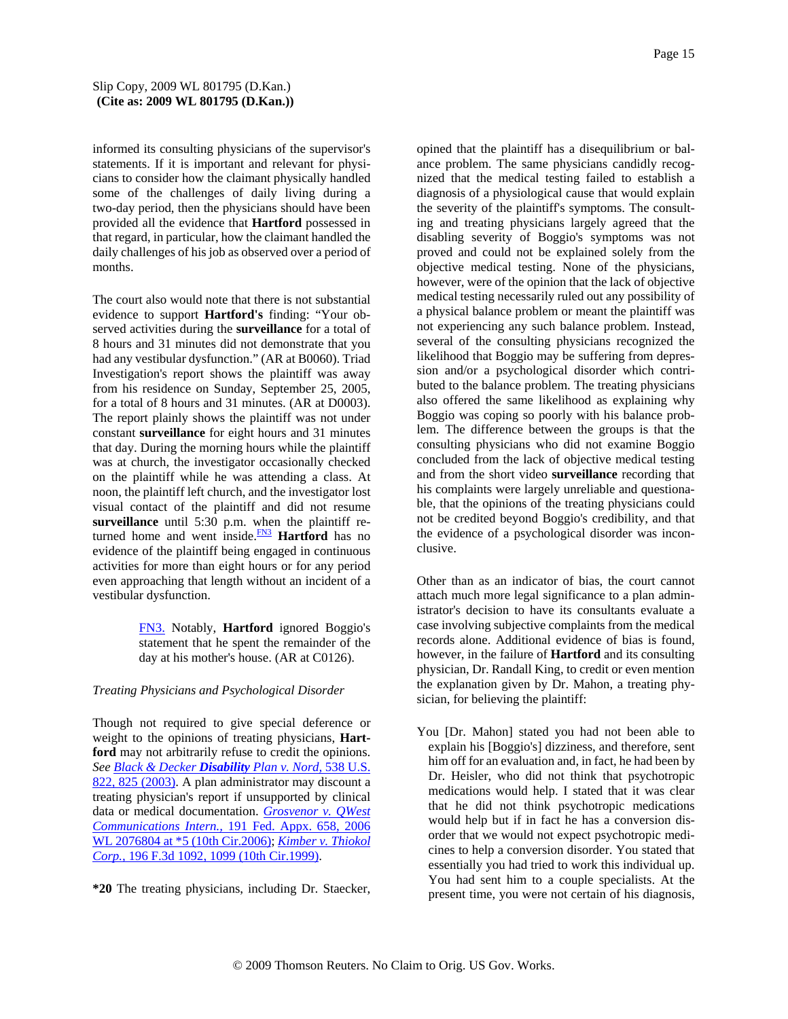informed its consulting physicians of the supervisor's statements. If it is important and relevant for physicians to consider how the claimant physically handled some of the challenges of daily living during a two-day period, then the physicians should have been provided all the evidence that **Hartford** possessed in that regard, in particular, how the claimant handled the daily challenges of his job as observed over a period of months.

The court also would note that there is not substantial evidence to support **Hartford's** finding: "Your observed activities during the **surveillance** for a total of 8 hours and 31 minutes did not demonstrate that you had any vestibular dysfunction." (AR at B0060). Triad Investigation's report shows the plaintiff was away from his residence on Sunday, September 25, 2005, for a total of 8 hours and 31 minutes. (AR at D0003). The report plainly shows the plaintiff was not under constant **surveillance** for eight hours and 31 minutes that day. During the morning hours while the plaintiff was at church, the investigator occasionally checked on the plaintiff while he was attending a class. At noon, the plaintiff left church, and the investigator lost visual contact of the plaintiff and did not resume **surveillance** until 5:30 p.m. when the plaintiff returned home and went inside.<sup>FN3</sup> Hartford has no evidence of the plaintiff being engaged in continuous activities for more than eight hours or for any period even approaching that length without an incident of a vestibular dysfunction.

> FN3. Notably, **Hartford** ignored Boggio's statement that he spent the remainder of the day at his mother's house. (AR at C0126).

## *Treating Physicians and Psychological Disorder*

Though not required to give special deference or weight to the opinions of treating physicians, **Hartford** may not arbitrarily refuse to credit the opinions. *See Black & Decker Disability Plan v. Nord,* 538 U.S. 822, 825 (2003). A plan administrator may discount a treating physician's report if unsupported by clinical data or medical documentation. *Grosvenor v. QWest Communications Intern.,* 191 Fed. Appx. 658, 2006 WL 2076804 at \*5 (10th Cir.2006); *Kimber v. Thiokol Corp.,* 196 F.3d 1092, 1099 (10th Cir.1999).

**\*20** The treating physicians, including Dr. Staecker,

opined that the plaintiff has a disequilibrium or balance problem. The same physicians candidly recognized that the medical testing failed to establish a diagnosis of a physiological cause that would explain the severity of the plaintiff's symptoms. The consulting and treating physicians largely agreed that the disabling severity of Boggio's symptoms was not proved and could not be explained solely from the objective medical testing. None of the physicians, however, were of the opinion that the lack of objective medical testing necessarily ruled out any possibility of a physical balance problem or meant the plaintiff was not experiencing any such balance problem. Instead, several of the consulting physicians recognized the likelihood that Boggio may be suffering from depression and/or a psychological disorder which contributed to the balance problem. The treating physicians also offered the same likelihood as explaining why Boggio was coping so poorly with his balance problem. The difference between the groups is that the consulting physicians who did not examine Boggio concluded from the lack of objective medical testing and from the short video **surveillance** recording that his complaints were largely unreliable and questionable, that the opinions of the treating physicians could not be credited beyond Boggio's credibility, and that the evidence of a psychological disorder was inconclusive.

Other than as an indicator of bias, the court cannot attach much more legal significance to a plan administrator's decision to have its consultants evaluate a case involving subjective complaints from the medical records alone. Additional evidence of bias is found, however, in the failure of **Hartford** and its consulting physician, Dr. Randall King, to credit or even mention the explanation given by Dr. Mahon, a treating physician, for believing the plaintiff:

You [Dr. Mahon] stated you had not been able to explain his [Boggio's] dizziness, and therefore, sent him off for an evaluation and, in fact, he had been by Dr. Heisler, who did not think that psychotropic medications would help. I stated that it was clear that he did not think psychotropic medications would help but if in fact he has a conversion disorder that we would not expect psychotropic medicines to help a conversion disorder. You stated that essentially you had tried to work this individual up. You had sent him to a couple specialists. At the present time, you were not certain of his diagnosis,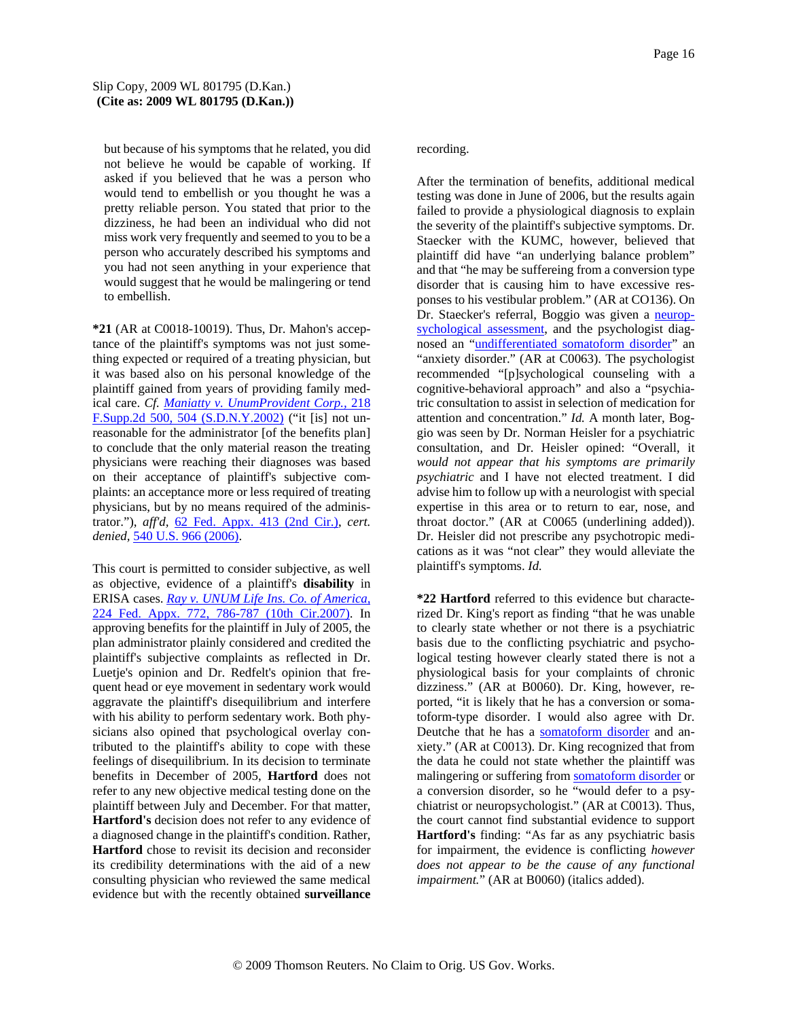but because of his symptoms that he related, you did not believe he would be capable of working. If asked if you believed that he was a person who would tend to embellish or you thought he was a pretty reliable person. You stated that prior to the dizziness, he had been an individual who did not miss work very frequently and seemed to you to be a person who accurately described his symptoms and you had not seen anything in your experience that would suggest that he would be malingering or tend to embellish.

**\*21** (AR at C0018-10019). Thus, Dr. Mahon's acceptance of the plaintiff's symptoms was not just something expected or required of a treating physician, but it was based also on his personal knowledge of the plaintiff gained from years of providing family medical care. *Cf. Maniatty v. UnumProvident Corp.,* 218 F.Supp.2d 500, 504 (S.D.N.Y.2002) ("it [is] not unreasonable for the administrator [of the benefits plan] to conclude that the only material reason the treating physicians were reaching their diagnoses was based on their acceptance of plaintiff's subjective complaints: an acceptance more or less required of treating physicians, but by no means required of the administrator."), *aff'd,* 62 Fed. Appx. 413 (2nd Cir.), *cert. denied,* 540 U.S. 966 (2006).

This court is permitted to consider subjective, as well as objective, evidence of a plaintiff's **disability** in ERISA cases. *Ray v. UNUM Life Ins. Co. of America,* 224 Fed. Appx. 772, 786-787 (10th Cir.2007). In approving benefits for the plaintiff in July of 2005, the plan administrator plainly considered and credited the plaintiff's subjective complaints as reflected in Dr. Luetje's opinion and Dr. Redfelt's opinion that frequent head or eye movement in sedentary work would aggravate the plaintiff's disequilibrium and interfere with his ability to perform sedentary work. Both physicians also opined that psychological overlay contributed to the plaintiff's ability to cope with these feelings of disequilibrium. In its decision to terminate benefits in December of 2005, **Hartford** does not refer to any new objective medical testing done on the plaintiff between July and December. For that matter, **Hartford's** decision does not refer to any evidence of a diagnosed change in the plaintiff's condition. Rather, **Hartford** chose to revisit its decision and reconsider its credibility determinations with the aid of a new consulting physician who reviewed the same medical evidence but with the recently obtained **surveillance**

## recording.

After the termination of benefits, additional medical testing was done in June of 2006, but the results again failed to provide a physiological diagnosis to explain the severity of the plaintiff's subjective symptoms. Dr. Staecker with the KUMC, however, believed that plaintiff did have "an underlying balance problem" and that "he may be suffereing from a conversion type disorder that is causing him to have excessive responses to his vestibular problem." (AR at CO136). On Dr. Staecker's referral, Boggio was given a neuropsychological assessment, and the psychologist diagnosed an "undifferentiated somatoform disorder" an "anxiety disorder." (AR at C0063). The psychologist recommended "[p]sychological counseling with a cognitive-behavioral approach" and also a "psychiatric consultation to assist in selection of medication for attention and concentration." *Id.* A month later, Boggio was seen by Dr. Norman Heisler for a psychiatric consultation, and Dr. Heisler opined: "Overall, it *would not appear that his symptoms are primarily psychiatric* and I have not elected treatment. I did advise him to follow up with a neurologist with special expertise in this area or to return to ear, nose, and throat doctor." (AR at C0065 (underlining added)). Dr. Heisler did not prescribe any psychotropic medications as it was "not clear" they would alleviate the plaintiff's symptoms. *Id.*

**\*22 Hartford** referred to this evidence but characterized Dr. King's report as finding "that he was unable to clearly state whether or not there is a psychiatric basis due to the conflicting psychiatric and psychological testing however clearly stated there is not a physiological basis for your complaints of chronic dizziness." (AR at B0060). Dr. King, however, reported, "it is likely that he has a conversion or somatoform-type disorder. I would also agree with Dr. Deutche that he has a somatoform disorder and anxiety." (AR at C0013). Dr. King recognized that from the data he could not state whether the plaintiff was malingering or suffering from somatoform disorder or a conversion disorder, so he "would defer to a psychiatrist or neuropsychologist." (AR at C0013). Thus, the court cannot find substantial evidence to support **Hartford's** finding: "As far as any psychiatric basis for impairment, the evidence is conflicting *however does not appear to be the cause of any functional impairment.*" (AR at B0060) (italics added).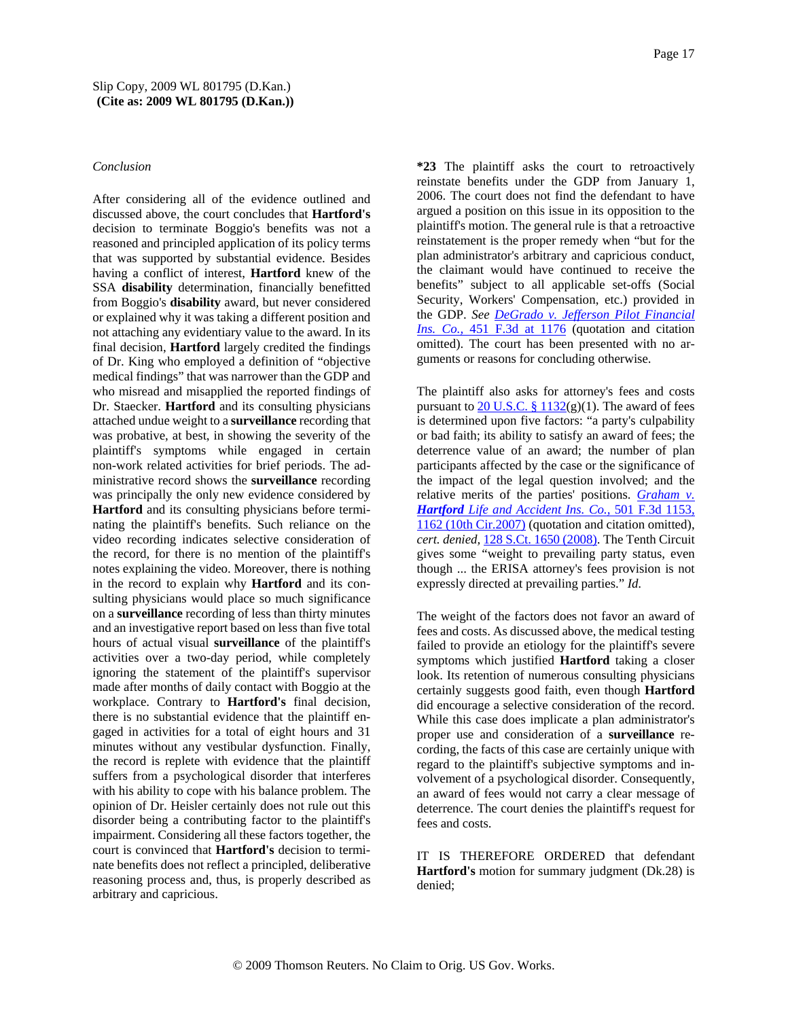### *Conclusion*

After considering all of the evidence outlined and discussed above, the court concludes that **Hartford's** decision to terminate Boggio's benefits was not a reasoned and principled application of its policy terms that was supported by substantial evidence. Besides having a conflict of interest, **Hartford** knew of the SSA **disability** determination, financially benefitted from Boggio's **disability** award, but never considered or explained why it was taking a different position and not attaching any evidentiary value to the award. In its final decision, **Hartford** largely credited the findings of Dr. King who employed a definition of "objective medical findings" that was narrower than the GDP and who misread and misapplied the reported findings of Dr. Staecker. **Hartford** and its consulting physicians attached undue weight to a **surveillance** recording that was probative, at best, in showing the severity of the plaintiff's symptoms while engaged in certain non-work related activities for brief periods. The administrative record shows the **surveillance** recording was principally the only new evidence considered by **Hartford** and its consulting physicians before terminating the plaintiff's benefits. Such reliance on the video recording indicates selective consideration of the record, for there is no mention of the plaintiff's notes explaining the video. Moreover, there is nothing in the record to explain why **Hartford** and its consulting physicians would place so much significance on a **surveillance** recording of less than thirty minutes and an investigative report based on less than five total hours of actual visual **surveillance** of the plaintiff's activities over a two-day period, while completely ignoring the statement of the plaintiff's supervisor made after months of daily contact with Boggio at the workplace. Contrary to **Hartford's** final decision, there is no substantial evidence that the plaintiff engaged in activities for a total of eight hours and 31 minutes without any vestibular dysfunction. Finally, the record is replete with evidence that the plaintiff suffers from a psychological disorder that interferes with his ability to cope with his balance problem. The opinion of Dr. Heisler certainly does not rule out this disorder being a contributing factor to the plaintiff's impairment. Considering all these factors together, the court is convinced that **Hartford's** decision to terminate benefits does not reflect a principled, deliberative reasoning process and, thus, is properly described as arbitrary and capricious.

**\*23** The plaintiff asks the court to retroactively reinstate benefits under the GDP from January 1, 2006. The court does not find the defendant to have argued a position on this issue in its opposition to the plaintiff's motion. The general rule is that a retroactive reinstatement is the proper remedy when "but for the plan administrator's arbitrary and capricious conduct, the claimant would have continued to receive the benefits" subject to all applicable set-offs (Social Security, Workers' Compensation, etc.) provided in the GDP. *See DeGrado v. Jefferson Pilot Financial Ins. Co.,* 451 F.3d at 1176 (quotation and citation omitted). The court has been presented with no arguments or reasons for concluding otherwise.

The plaintiff also asks for attorney's fees and costs pursuant to  $20$  U.S.C. § 1132(g)(1). The award of fees is determined upon five factors: "a party's culpability or bad faith; its ability to satisfy an award of fees; the deterrence value of an award; the number of plan participants affected by the case or the significance of the impact of the legal question involved; and the relative merits of the parties' positions. *Graham v. Hartford Life and Accident Ins. Co.,* 501 F.3d 1153, 1162 (10th Cir.2007) (quotation and citation omitted), *cert. denied,* 128 S.Ct. 1650 (2008). The Tenth Circuit gives some "weight to prevailing party status, even though ... the ERISA attorney's fees provision is not expressly directed at prevailing parties." *Id.*

The weight of the factors does not favor an award of fees and costs. As discussed above, the medical testing failed to provide an etiology for the plaintiff's severe symptoms which justified **Hartford** taking a closer look. Its retention of numerous consulting physicians certainly suggests good faith, even though **Hartford** did encourage a selective consideration of the record. While this case does implicate a plan administrator's proper use and consideration of a **surveillance** recording, the facts of this case are certainly unique with regard to the plaintiff's subjective symptoms and involvement of a psychological disorder. Consequently, an award of fees would not carry a clear message of deterrence. The court denies the plaintiff's request for fees and costs.

IT IS THEREFORE ORDERED that defendant **Hartford's** motion for summary judgment (Dk.28) is denied;